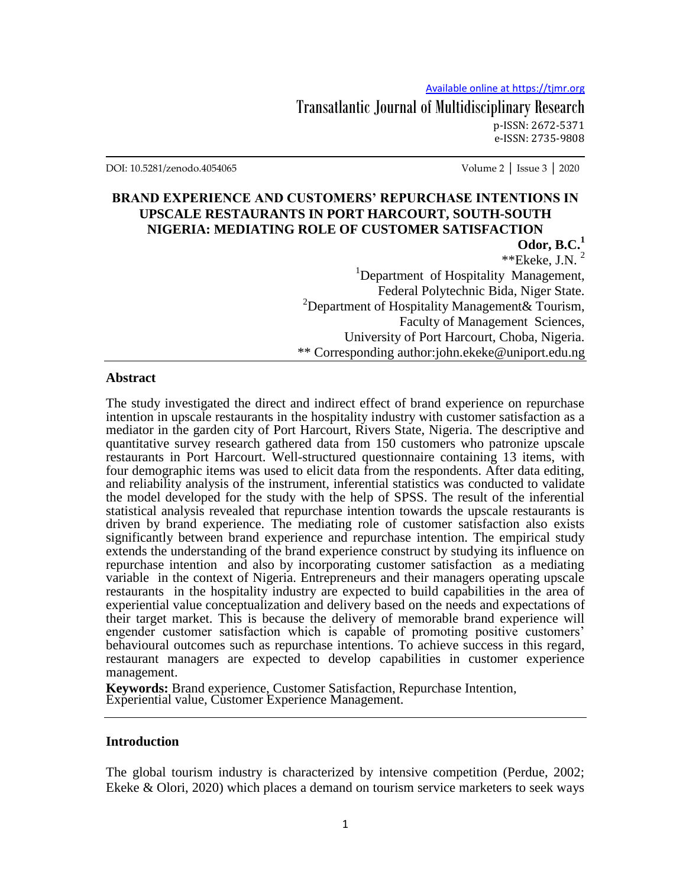Transatlantic Journal of Multidisciplinary Research p-ISSN: 2672-5371 e-ISSN: 2735-9808

DOI: 10.5281/zenodo.4054065 Volume 2 │ Issue 3 │ 2020

## **BRAND EXPERIENCE AND CUSTOMERS' REPURCHASE INTENTIONS IN UPSCALE RESTAURANTS IN PORT HARCOURT, SOUTH-SOUTH NIGERIA: MEDIATING ROLE OF CUSTOMER SATISFACTION**

**Odor, B.C.<sup>1</sup>**  $*$ \*Ekeke, J.N.<sup>2</sup> <sup>1</sup>Department of Hospitality Management, Federal Polytechnic Bida, Niger State.  $2$ Department of Hospitality Management & Tourism, Faculty of Management Sciences, University of Port Harcourt, Choba, Nigeria. \*\* Corresponding author:john.ekeke@uniport.edu.ng

### **Abstract**

The study investigated the direct and indirect effect of brand experience on repurchase intention in upscale restaurants in the hospitality industry with customer satisfaction as a mediator in the garden city of Port Harcourt, Rivers State, Nigeria. The descriptive and quantitative survey research gathered data from 150 customers who patronize upscale restaurants in Port Harcourt. Well-structured questionnaire containing 13 items, with four demographic items was used to elicit data from the respondents. After data editing, and reliability analysis of the instrument, inferential statistics was conducted to validate the model developed for the study with the help of SPSS. The result of the inferential statistical analysis revealed that repurchase intention towards the upscale restaurants is driven by brand experience. The mediating role of customer satisfaction also exists significantly between brand experience and repurchase intention. The empirical study extends the understanding of the brand experience construct by studying its influence on repurchase intention and also by incorporating customer satisfaction as a mediating variable in the context of Nigeria. Entrepreneurs and their managers operating upscale restaurants in the hospitality industry are expected to build capabilities in the area of experiential value conceptualization and delivery based on the needs and expectations of their target market. This is because the delivery of memorable brand experience will engender customer satisfaction which is capable of promoting positive customers' behavioural outcomes such as repurchase intentions. To achieve success in this regard, restaurant managers are expected to develop capabilities in customer experience management.

**Keywords:** Brand experience, Customer Satisfaction, Repurchase Intention, Experiential value, Customer Experience Management.

#### **Introduction**

The global tourism industry is characterized by intensive competition (Perdue, 2002; Ekeke & Olori, 2020) which places a demand on tourism service marketers to seek ways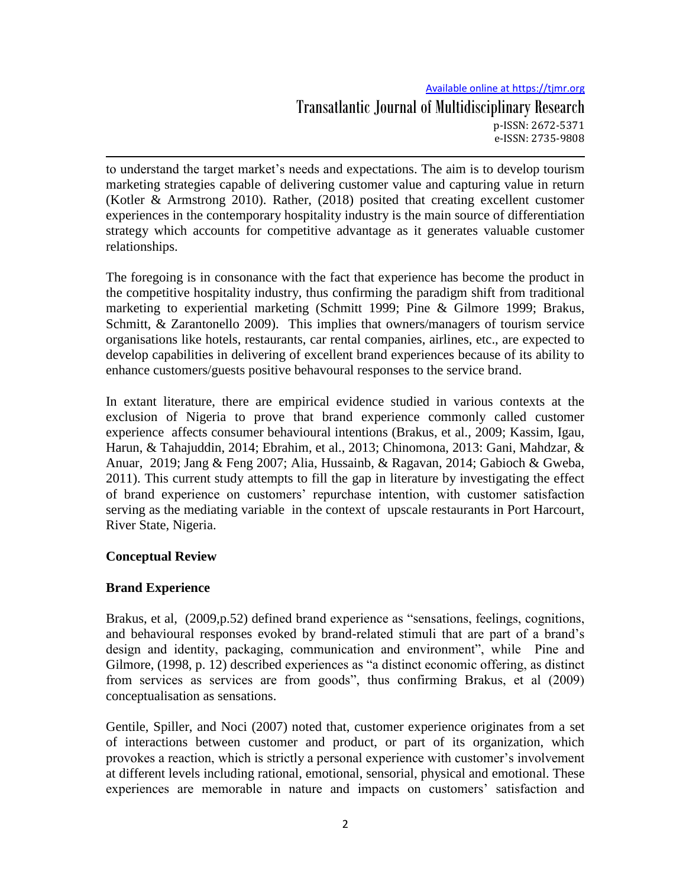# Available online at https://tjmr.org Transatlantic Journal of Multidisciplinary Research p-ISSN: 2672-5371 e-ISSN: 2735-9808

to understand the target market"s needs and expectations. The aim is to develop tourism marketing strategies capable of delivering customer value and capturing value in return (Kotler & Armstrong 2010). Rather, (2018) posited that creating excellent customer experiences in the contemporary hospitality industry is the main source of differentiation strategy which accounts for competitive advantage as it generates valuable customer relationships.

The foregoing is in consonance with the fact that experience has become the product in the competitive hospitality industry, thus confirming the paradigm shift from traditional marketing to experiential marketing (Schmitt 1999; Pine & Gilmore 1999; Brakus, Schmitt, & Zarantonello 2009). This implies that owners/managers of tourism service organisations like hotels, restaurants, car rental companies, airlines, etc., are expected to develop capabilities in delivering of excellent brand experiences because of its ability to enhance customers/guests positive behavoural responses to the service brand.

In extant literature, there are empirical evidence studied in various contexts at the exclusion of Nigeria to prove that brand experience commonly called customer experience affects consumer behavioural intentions (Brakus, et al., 2009; Kassim, Igau, Harun, & Tahajuddin, 2014; Ebrahim, et al., 2013; Chinomona, 2013: Gani, Mahdzar, & Anuar, 2019; Jang & Feng 2007; Alia, Hussainb, & Ragavan, 2014; Gabioch & Gweba, 2011). This current study attempts to fill the gap in literature by investigating the effect of brand experience on customers" repurchase intention, with customer satisfaction serving as the mediating variable in the context of upscale restaurants in Port Harcourt, River State, Nigeria.

## **Conceptual Review**

# **Brand Experience**

Brakus, et al, (2009,p.52) defined brand experience as "sensations, feelings, cognitions, and behavioural responses evoked by brand-related stimuli that are part of a brand"s design and identity, packaging, communication and environment", while Pine and Gilmore, (1998, p. 12) described experiences as "a distinct economic offering, as distinct from services as services are from goods", thus confirming Brakus, et al (2009) conceptualisation as sensations.

Gentile, Spiller, and Noci (2007) noted that, customer experience originates from a set of interactions between customer and product, or part of its organization, which provokes a reaction, which is strictly a personal experience with customer's involvement at different levels including rational, emotional, sensorial, physical and emotional. These experiences are memorable in nature and impacts on customers' satisfaction and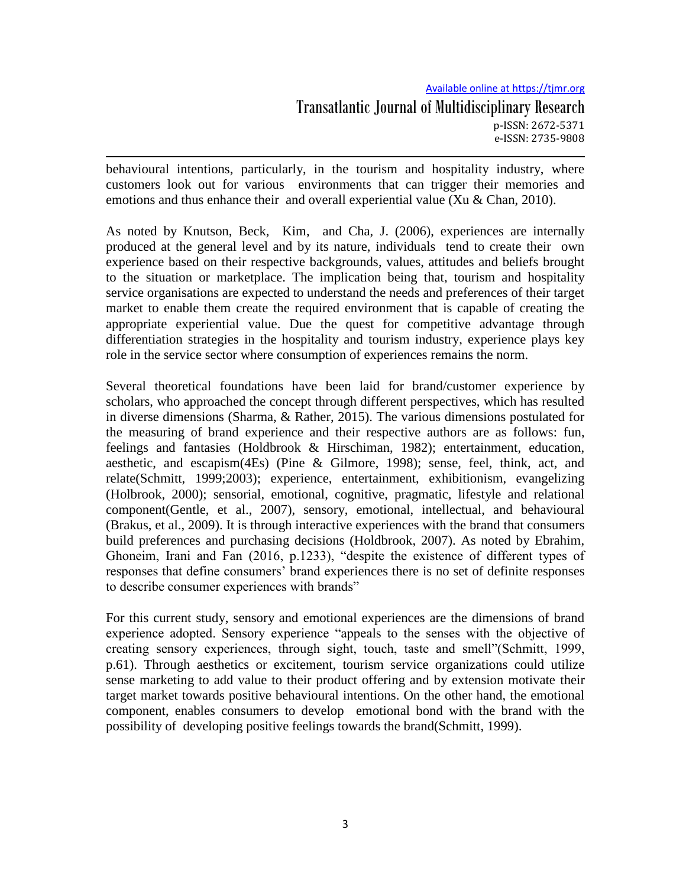# Available online at https://tjmr.org Transatlantic Journal of Multidisciplinary Research p-ISSN: 2672-5371 e-ISSN: 2735-9808

behavioural intentions, particularly, in the tourism and hospitality industry, where customers look out for various environments that can trigger their memories and emotions and thus enhance their and overall experiential value (Xu & Chan, 2010).

As noted by Knutson, Beck, Kim, and Cha, J. (2006), experiences are internally produced at the general level and by its nature, individuals tend to create their own experience based on their respective backgrounds, values, attitudes and beliefs brought to the situation or marketplace. The implication being that, tourism and hospitality service organisations are expected to understand the needs and preferences of their target market to enable them create the required environment that is capable of creating the appropriate experiential value. Due the quest for competitive advantage through differentiation strategies in the hospitality and tourism industry, experience plays key role in the service sector where consumption of experiences remains the norm.

Several theoretical foundations have been laid for brand/customer experience by scholars, who approached the concept through different perspectives, which has resulted in diverse dimensions (Sharma, & Rather, 2015). The various dimensions postulated for the measuring of brand experience and their respective authors are as follows: fun, feelings and fantasies (Holdbrook & Hirschiman, 1982); entertainment, education, aesthetic, and escapism(4Es) (Pine & Gilmore, 1998); sense, feel, think, act, and relate(Schmitt, 1999;2003); experience, entertainment, exhibitionism, evangelizing (Holbrook, 2000); sensorial, emotional, cognitive, pragmatic, lifestyle and relational component(Gentle, et al., 2007), sensory, emotional, intellectual, and behavioural (Brakus, et al., 2009). It is through interactive experiences with the brand that consumers build preferences and purchasing decisions (Holdbrook, 2007). As noted by Ebrahim, Ghoneim, Irani and Fan (2016, p.1233), "despite the existence of different types of responses that define consumers" brand experiences there is no set of definite responses to describe consumer experiences with brands"

For this current study, sensory and emotional experiences are the dimensions of brand experience adopted. Sensory experience "appeals to the senses with the objective of creating sensory experiences, through sight, touch, taste and smell"(Schmitt, 1999, p.61). Through aesthetics or excitement, tourism service organizations could utilize sense marketing to add value to their product offering and by extension motivate their target market towards positive behavioural intentions. On the other hand, the emotional component, enables consumers to develop emotional bond with the brand with the possibility of developing positive feelings towards the brand(Schmitt, 1999).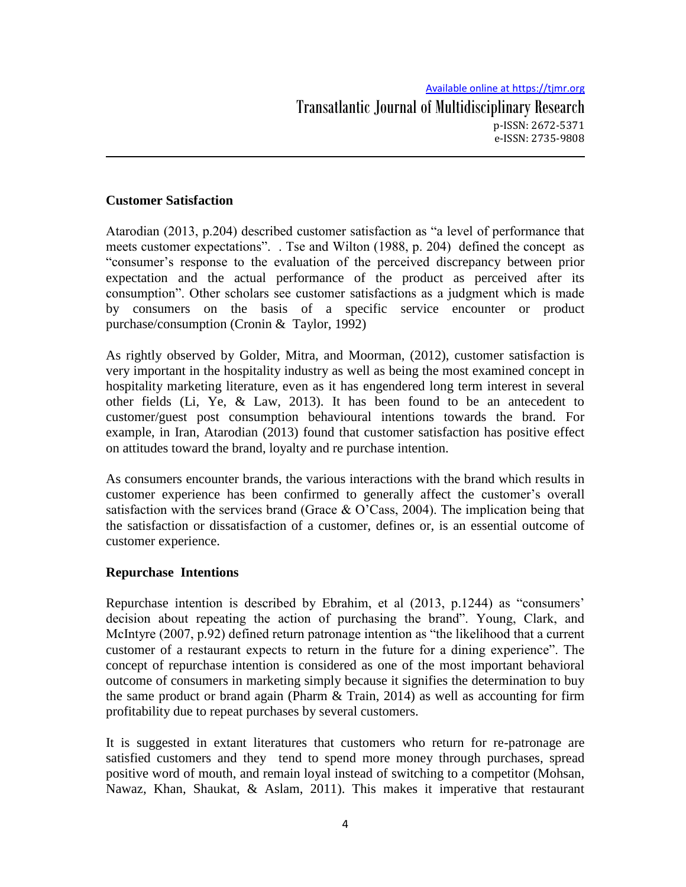## **Customer Satisfaction**

Atarodian (2013, p.204) described customer satisfaction as "a level of performance that meets customer expectations". . Tse and Wilton (1988, p. 204) defined the concept as "consumer"s response to the evaluation of the perceived discrepancy between prior expectation and the actual performance of the product as perceived after its consumption". Other scholars see customer satisfactions as a judgment which is made by consumers on the basis of a specific service encounter or product purchase/consumption (Cronin & Taylor, 1992)

As rightly observed by Golder, Mitra, and Moorman, (2012), customer satisfaction is very important in the hospitality industry as well as being the most examined concept in hospitality marketing literature, even as it has engendered long term interest in several other fields (Li, Ye, & Law, 2013). It has been found to be an antecedent to customer/guest post consumption behavioural intentions towards the brand. For example, in Iran, Atarodian (2013) found that customer satisfaction has positive effect on attitudes toward the brand, loyalty and re purchase intention.

As consumers encounter brands, the various interactions with the brand which results in customer experience has been confirmed to generally affect the customer"s overall satisfaction with the services brand (Grace  $\&$  O'Cass, 2004). The implication being that the satisfaction or dissatisfaction of a customer, defines or, is an essential outcome of customer experience.

## **Repurchase Intentions**

Repurchase intention is described by Ebrahim, et al (2013, p.1244) as "consumers" decision about repeating the action of purchasing the brand". Young, Clark, and McIntyre (2007, p.92) defined return patronage intention as "the likelihood that a current customer of a restaurant expects to return in the future for a dining experience". The concept of repurchase intention is considered as one of the most important behavioral outcome of consumers in marketing simply because it signifies the determination to buy the same product or brand again (Pharm & Train, 2014) as well as accounting for firm profitability due to repeat purchases by several customers.

It is suggested in extant literatures that customers who return for re-patronage are satisfied customers and they tend to spend more money through purchases, spread positive word of mouth, and remain loyal instead of switching to a competitor (Mohsan, Nawaz, Khan, Shaukat, & Aslam, 2011). This makes it imperative that restaurant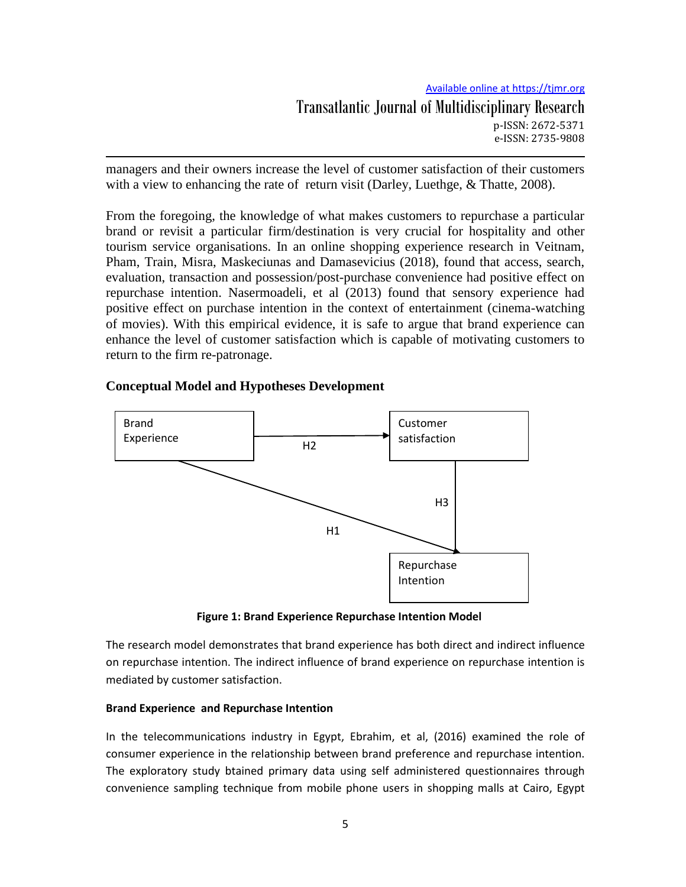managers and their owners increase the level of customer satisfaction of their customers with a view to enhancing the rate of return visit (Darley, Luethge, & Thatte, 2008).

From the foregoing, the knowledge of what makes customers to repurchase a particular brand or revisit a particular firm/destination is very crucial for hospitality and other tourism service organisations. In an online shopping experience research in Veitnam, Pham, Train, Misra, Maskeciunas and Damasevicius (2018), found that access, search, evaluation, transaction and possession/post-purchase convenience had positive effect on repurchase intention. Nasermoadeli, et al (2013) found that sensory experience had positive effect on purchase intention in the context of entertainment (cinema-watching of movies). With this empirical evidence, it is safe to argue that brand experience can enhance the level of customer satisfaction which is capable of motivating customers to return to the firm re-patronage.

## **Conceptual Model and Hypotheses Development**



**Figure 1: Brand Experience Repurchase Intention Model**

The research model demonstrates that brand experience has both direct and indirect influence on repurchase intention. The indirect influence of brand experience on repurchase intention is mediated by customer satisfaction.

## **Brand Experience and Repurchase Intention**

In the telecommunications industry in Egypt, Ebrahim, et al, (2016) examined the role of consumer experience in the relationship between brand preference and repurchase intention. The exploratory study btained primary data using self administered questionnaires through convenience sampling technique from mobile phone users in shopping malls at Cairo, Egypt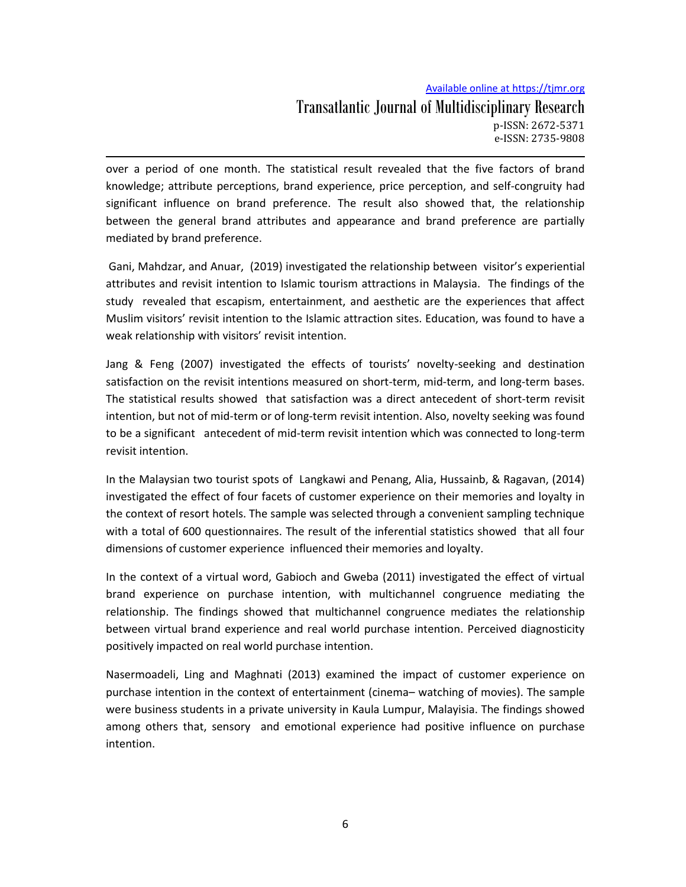# Available online at https://tjmr.org Transatlantic Journal of Multidisciplinary Research p-ISSN: 2672-5371 e-ISSN: 2735-9808

over a period of one month. The statistical result revealed that the five factors of brand knowledge; attribute perceptions, brand experience, price perception, and self-congruity had significant influence on brand preference. The result also showed that, the relationship between the general brand attributes and appearance and brand preference are partially mediated by brand preference.

Gani, Mahdzar, and Anuar, (2019) investigated the relationship between visitor's experiential attributes and revisit intention to Islamic tourism attractions in Malaysia. The findings of the study revealed that escapism, entertainment, and aesthetic are the experiences that affect Muslim visitors' revisit intention to the Islamic attraction sites. Education, was found to have a weak relationship with visitors' revisit intention.

Jang & Feng (2007) investigated the effects of tourists' novelty-seeking and destination satisfaction on the revisit intentions measured on short-term, mid-term, and long-term bases. The statistical results showed that satisfaction was a direct antecedent of short-term revisit intention, but not of mid-term or of long-term revisit intention. Also, novelty seeking was found to be a significant antecedent of mid-term revisit intention which was connected to long-term revisit intention.

In the Malaysian two tourist spots of Langkawi and Penang, Alia, Hussainb, & Ragavan, (2014) investigated the effect of four facets of customer experience on their memories and loyalty in the context of resort hotels. The sample was selected through a convenient sampling technique with a total of 600 questionnaires. The result of the inferential statistics showed that all four dimensions of customer experience influenced their memories and loyalty.

In the context of a virtual word, Gabioch and Gweba (2011) investigated the effect of virtual brand experience on purchase intention, with multichannel congruence mediating the relationship. The findings showed that multichannel congruence mediates the relationship between virtual brand experience and real world purchase intention. Perceived diagnosticity positively impacted on real world purchase intention.

Nasermoadeli, Ling and Maghnati (2013) examined the impact of customer experience on purchase intention in the context of entertainment (cinema– watching of movies). The sample were business students in a private university in Kaula Lumpur, Malayisia. The findings showed among others that, sensory and emotional experience had positive influence on purchase intention.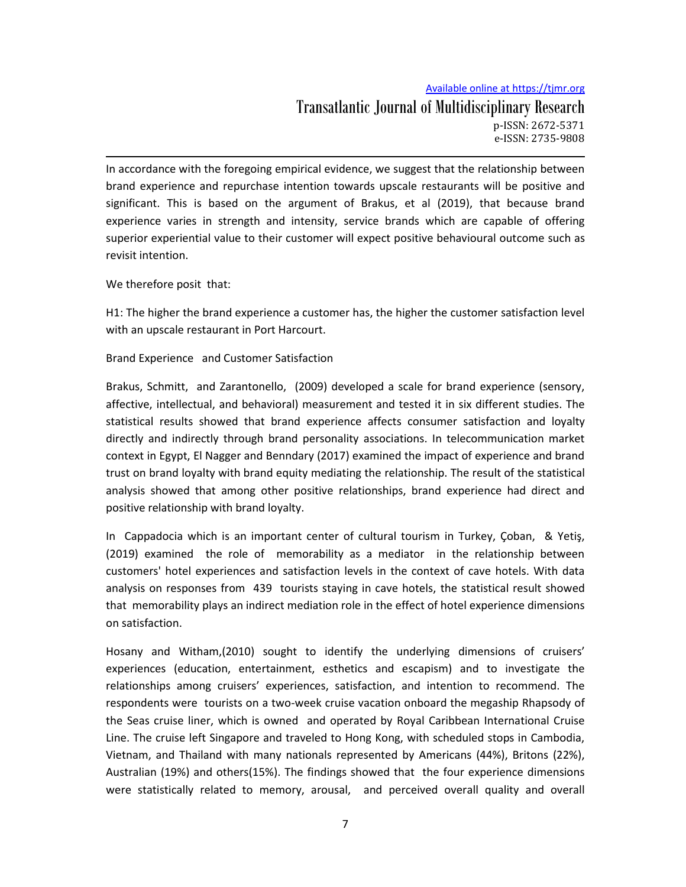# Available online at https://tjmr.org Transatlantic Journal of Multidisciplinary Research p-ISSN: 2672-5371 e-ISSN: 2735-9808

In accordance with the foregoing empirical evidence, we suggest that the relationship between brand experience and repurchase intention towards upscale restaurants will be positive and significant. This is based on the argument of Brakus, et al (2019), that because brand experience varies in strength and intensity, service brands which are capable of offering superior experiential value to their customer will expect positive behavioural outcome such as revisit intention.

We therefore posit that:

H1: The higher the brand experience a customer has, the higher the customer satisfaction level with an upscale restaurant in Port Harcourt.

Brand Experience and Customer Satisfaction

Brakus, Schmitt, and Zarantonello, (2009) developed a scale for brand experience (sensory, affective, intellectual, and behavioral) measurement and tested it in six different studies. The statistical results showed that brand experience affects consumer satisfaction and loyalty directly and indirectly through brand personality associations. In telecommunication market context in Egypt, El Nagger and Benndary (2017) examined the impact of experience and brand trust on brand loyalty with brand equity mediating the relationship. The result of the statistical analysis showed that among other positive relationships, brand experience had direct and positive relationship with brand loyalty.

In Cappadocia which is an important center of cultural tourism in Turkey, Çoban, & Yetiş, (2019) examined the role of memorability as a mediator in the relationship between customers' hotel experiences and satisfaction levels in the context of cave hotels. With data analysis on responses from 439 tourists staying in cave hotels, the statistical result showed that memorability plays an indirect mediation role in the effect of hotel experience dimensions on satisfaction.

Hosany and Witham,(2010) sought to identify the underlying dimensions of cruisers' experiences (education, entertainment, esthetics and escapism) and to investigate the relationships among cruisers' experiences, satisfaction, and intention to recommend. The respondents were tourists on a two-week cruise vacation onboard the megaship Rhapsody of the Seas cruise liner, which is owned and operated by Royal Caribbean International Cruise Line. The cruise left Singapore and traveled to Hong Kong, with scheduled stops in Cambodia, Vietnam, and Thailand with many nationals represented by Americans (44%), Britons (22%), Australian (19%) and others(15%). The findings showed that the four experience dimensions were statistically related to memory, arousal, and perceived overall quality and overall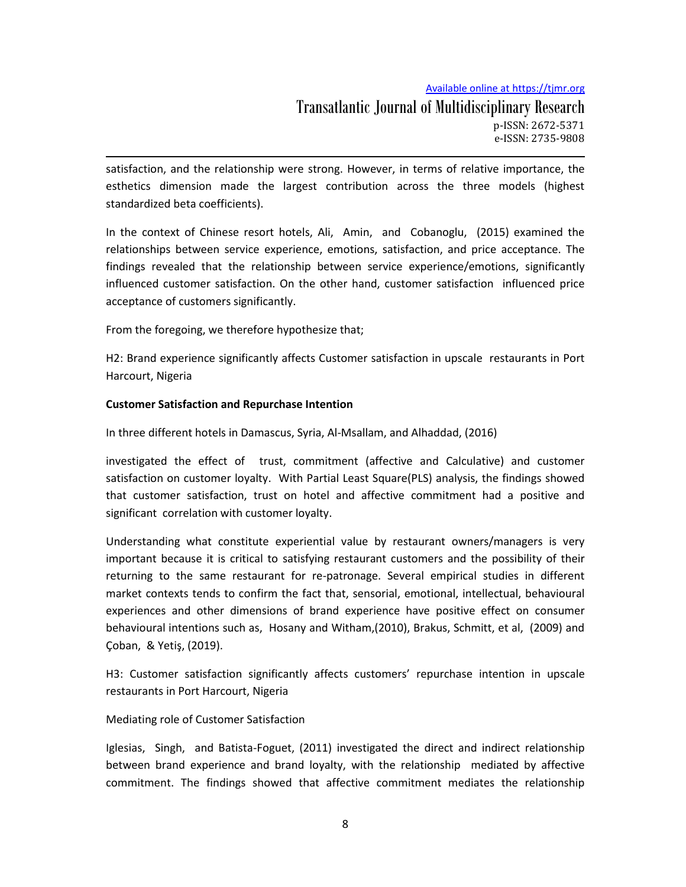Transatlantic Journal of Multidisciplinary Research p-ISSN: 2672-5371 e-ISSN: 2735-9808

satisfaction, and the relationship were strong. However, in terms of relative importance, the esthetics dimension made the largest contribution across the three models (highest standardized beta coefficients).

In the context of Chinese resort hotels, Ali, Amin, and Cobanoglu, (2015) examined the relationships between service experience, emotions, satisfaction, and price acceptance. The findings revealed that the relationship between service experience/emotions, significantly influenced customer satisfaction. On the other hand, customer satisfaction influenced price acceptance of customers significantly.

From the foregoing, we therefore hypothesize that;

H2: Brand experience significantly affects Customer satisfaction in upscale restaurants in Port Harcourt, Nigeria

## **Customer Satisfaction and Repurchase Intention**

In three different hotels in Damascus, Syria, Al-Msallam, and Alhaddad, (2016)

investigated the effect of trust, commitment (affective and Calculative) and customer satisfaction on customer loyalty. With Partial Least Square(PLS) analysis, the findings showed that customer satisfaction, trust on hotel and affective commitment had a positive and significant correlation with customer loyalty.

Understanding what constitute experiential value by restaurant owners/managers is very important because it is critical to satisfying restaurant customers and the possibility of their returning to the same restaurant for re-patronage. Several empirical studies in different market contexts tends to confirm the fact that, sensorial, emotional, intellectual, behavioural experiences and other dimensions of brand experience have positive effect on consumer behavioural intentions such as, Hosany and Witham,(2010), Brakus, Schmitt, et al, (2009) and Çoban, & Yetiş, (2019).

H3: Customer satisfaction significantly affects customers' repurchase intention in upscale restaurants in Port Harcourt, Nigeria

### Mediating role of Customer Satisfaction

Iglesias, Singh, and Batista-Foguet, (2011) investigated the direct and indirect relationship between brand experience and brand loyalty, with the relationship mediated by affective commitment. The findings showed that affective commitment mediates the relationship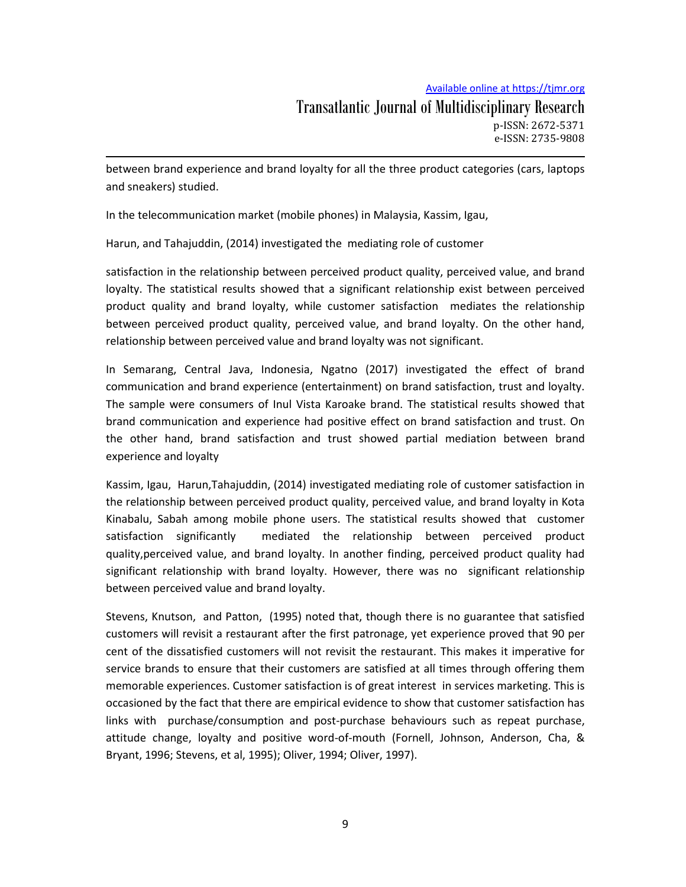between brand experience and brand loyalty for all the three product categories (cars, laptops and sneakers) studied.

In the telecommunication market (mobile phones) in Malaysia, Kassim, Igau,

Harun, and Tahajuddin, (2014) investigated the mediating role of customer

satisfaction in the relationship between perceived product quality, perceived value, and brand loyalty. The statistical results showed that a significant relationship exist between perceived product quality and brand loyalty, while customer satisfaction mediates the relationship between perceived product quality, perceived value, and brand loyalty. On the other hand, relationship between perceived value and brand loyalty was not significant.

In Semarang, Central Java, Indonesia, Ngatno (2017) investigated the effect of brand communication and brand experience (entertainment) on brand satisfaction, trust and loyalty. The sample were consumers of Inul Vista Karoake brand. The statistical results showed that brand communication and experience had positive effect on brand satisfaction and trust. On the other hand, brand satisfaction and trust showed partial mediation between brand experience and loyalty

Kassim, Igau, Harun,Tahajuddin, (2014) investigated mediating role of customer satisfaction in the relationship between perceived product quality, perceived value, and brand loyalty in Kota Kinabalu, Sabah among mobile phone users. The statistical results showed that customer satisfaction significantly mediated the relationship between perceived product quality,perceived value, and brand loyalty. In another finding, perceived product quality had significant relationship with brand loyalty. However, there was no significant relationship between perceived value and brand loyalty.

Stevens, Knutson, and Patton, (1995) noted that, though there is no guarantee that satisfied customers will revisit a restaurant after the first patronage, yet experience proved that 90 per cent of the dissatisfied customers will not revisit the restaurant. This makes it imperative for service brands to ensure that their customers are satisfied at all times through offering them memorable experiences. Customer satisfaction is of great interest in services marketing. This is occasioned by the fact that there are empirical evidence to show that customer satisfaction has links with purchase/consumption and post-purchase behaviours such as repeat purchase, attitude change, loyalty and positive word-of-mouth (Fornell, Johnson, Anderson, Cha, & Bryant, 1996; Stevens, et al, 1995); Oliver, 1994; Oliver, 1997).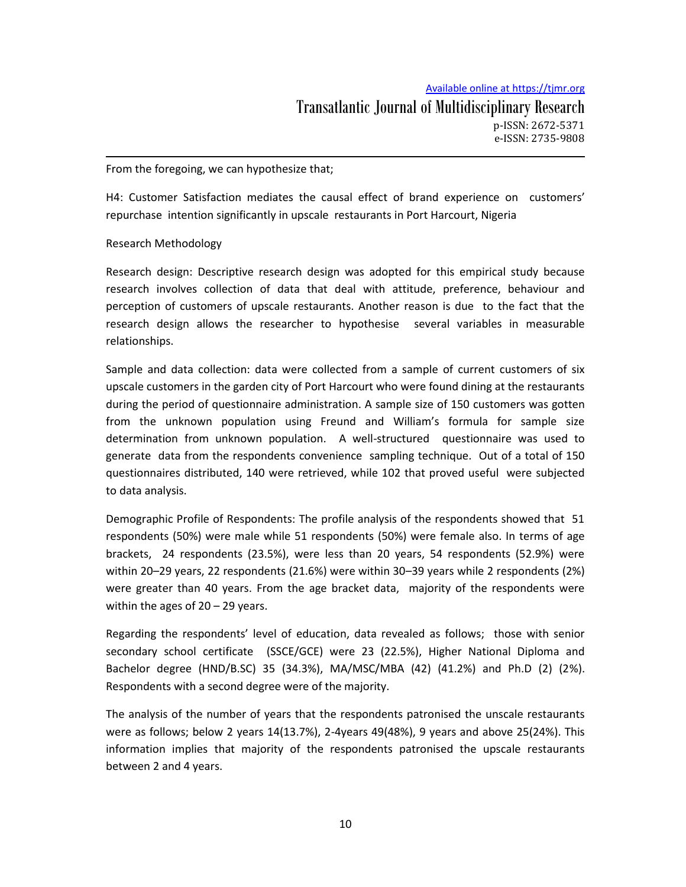From the foregoing, we can hypothesize that;

H4: Customer Satisfaction mediates the causal effect of brand experience on customers' repurchase intention significantly in upscale restaurants in Port Harcourt, Nigeria

#### Research Methodology

Research design: Descriptive research design was adopted for this empirical study because research involves collection of data that deal with attitude, preference, behaviour and perception of customers of upscale restaurants. Another reason is due to the fact that the research design allows the researcher to hypothesise several variables in measurable relationships.

Sample and data collection: data were collected from a sample of current customers of six upscale customers in the garden city of Port Harcourt who were found dining at the restaurants during the period of questionnaire administration. A sample size of 150 customers was gotten from the unknown population using Freund and William's formula for sample size determination from unknown population. A well-structured questionnaire was used to generate data from the respondents convenience sampling technique. Out of a total of 150 questionnaires distributed, 140 were retrieved, while 102 that proved useful were subjected to data analysis.

Demographic Profile of Respondents: The profile analysis of the respondents showed that 51 respondents (50%) were male while 51 respondents (50%) were female also. In terms of age brackets, 24 respondents (23.5%), were less than 20 years, 54 respondents (52.9%) were within 20–29 years, 22 respondents (21.6%) were within 30–39 years while 2 respondents (2%) were greater than 40 years. From the age bracket data, majority of the respondents were within the ages of  $20 - 29$  years.

Regarding the respondents' level of education, data revealed as follows; those with senior secondary school certificate (SSCE/GCE) were 23 (22.5%), Higher National Diploma and Bachelor degree (HND/B.SC) 35 (34.3%), MA/MSC/MBA (42) (41.2%) and Ph.D (2) (2%). Respondents with a second degree were of the majority.

The analysis of the number of years that the respondents patronised the unscale restaurants were as follows; below 2 years 14(13.7%), 2-4years 49(48%), 9 years and above 25(24%). This information implies that majority of the respondents patronised the upscale restaurants between 2 and 4 years.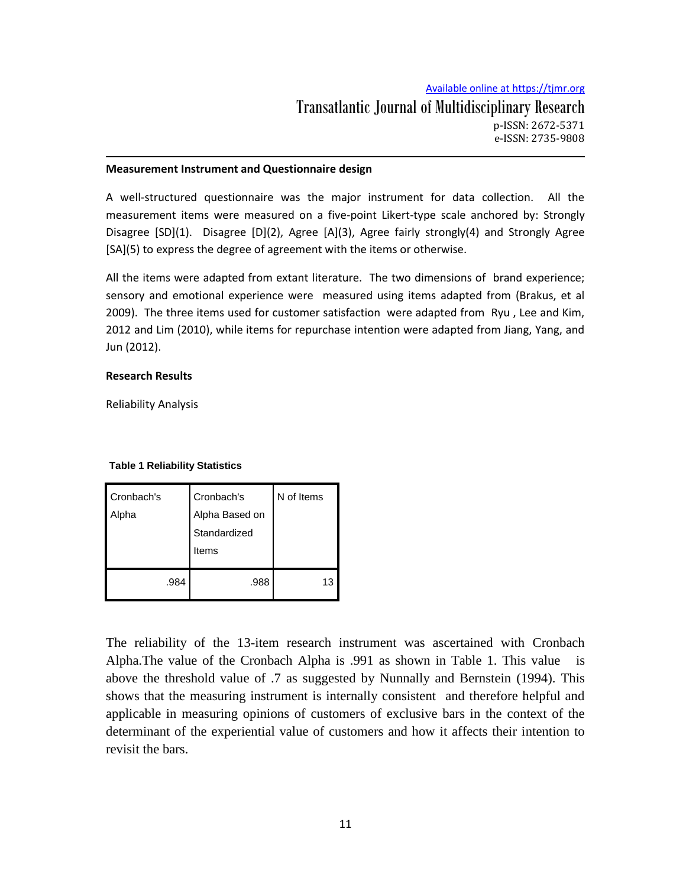#### **Measurement Instrument and Questionnaire design**

A well-structured questionnaire was the major instrument for data collection. All the measurement items were measured on a five-point Likert-type scale anchored by: Strongly Disagree [SD](1). Disagree [D](2), Agree [A](3), Agree fairly strongly(4) and Strongly Agree [SA](5) to express the degree of agreement with the items or otherwise.

All the items were adapted from extant literature. The two dimensions of brand experience; sensory and emotional experience were measured using items adapted from (Brakus, et al 2009). The three items used for customer satisfaction were adapted from Ryu , Lee and Kim, 2012 and Lim (2010), while items for repurchase intention were adapted from Jiang, Yang, and Jun (2012).

#### **Research Results**

Reliability Analysis

#### **Table 1 Reliability Statistics**

| Cronbach's<br>Alpha | Cronbach's<br>Alpha Based on<br>Standardized<br>Items | N of Items |
|---------------------|-------------------------------------------------------|------------|
| .984                | .988                                                  | 13         |

The reliability of the 13-item research instrument was ascertained with Cronbach Alpha.The value of the Cronbach Alpha is .991 as shown in Table 1. This value is above the threshold value of .7 as suggested by Nunnally and Bernstein (1994). This shows that the measuring instrument is internally consistent and therefore helpful and applicable in measuring opinions of customers of exclusive bars in the context of the determinant of the experiential value of customers and how it affects their intention to revisit the bars.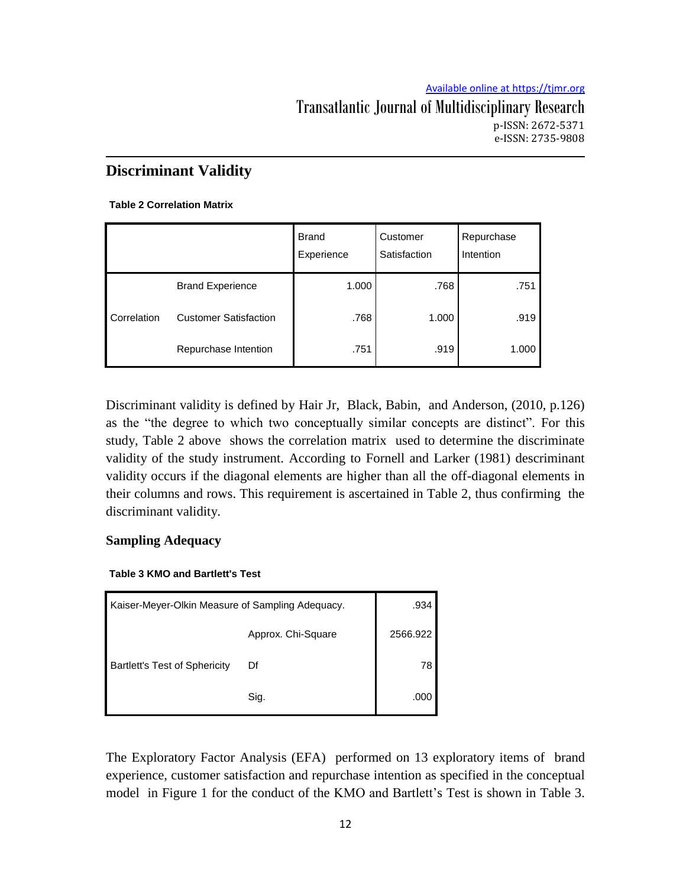e-ISSN: 2735-9808

# **Discriminant Validity**

## **Table 2 Correlation Matrix**

|             |                              | <b>Brand</b><br>Experience | Customer<br>Satisfaction | Repurchase<br>Intention |
|-------------|------------------------------|----------------------------|--------------------------|-------------------------|
|             | <b>Brand Experience</b>      | 1.000                      | .768                     | .751                    |
| Correlation | <b>Customer Satisfaction</b> | .768                       | 1.000                    | .919                    |
|             | Repurchase Intention         | .751                       | .919                     | 1.000                   |

Discriminant validity is defined by Hair Jr, Black, Babin, and Anderson, (2010, p.126) as the "the degree to which two conceptually similar concepts are distinct". For this study, Table 2 above shows the correlation matrix used to determine the discriminate validity of the study instrument. According to Fornell and Larker (1981) descriminant validity occurs if the diagonal elements are higher than all the off-diagonal elements in their columns and rows. This requirement is ascertained in Table 2, thus confirming the discriminant validity.

# **Sampling Adequacy**

## **Table 3 KMO and Bartlett's Test**

| Kaiser-Meyer-Olkin Measure of Sampling Adequacy. | .934               |          |
|--------------------------------------------------|--------------------|----------|
|                                                  | Approx. Chi-Square | 2566.922 |
| <b>Bartlett's Test of Sphericity</b>             | Df                 | 78       |
|                                                  | Sig.               | .000     |

The Exploratory Factor Analysis (EFA) performed on 13 exploratory items of brand experience, customer satisfaction and repurchase intention as specified in the conceptual model in Figure 1 for the conduct of the KMO and Bartlett's Test is shown in Table 3.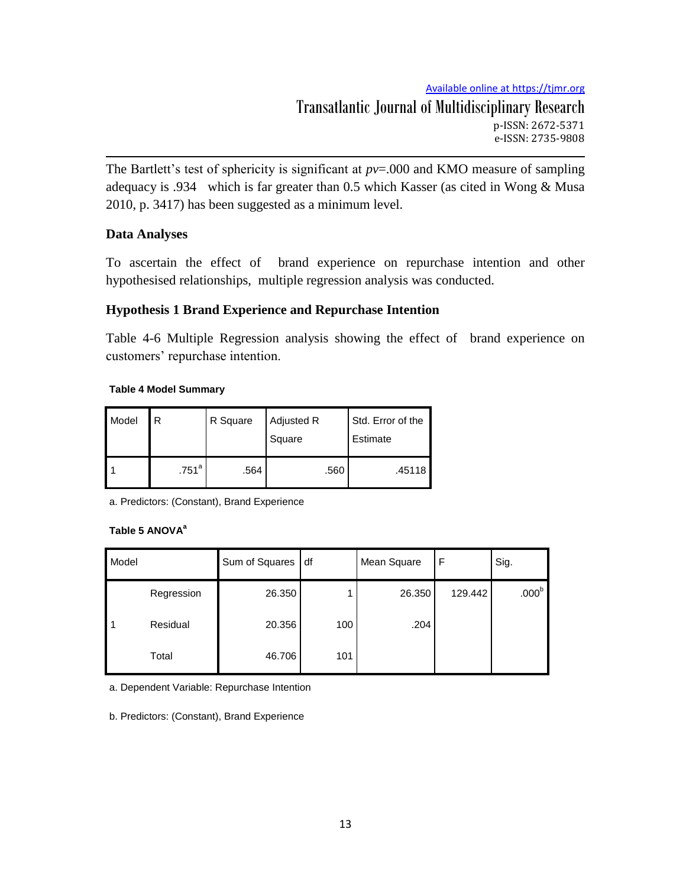The Bartlett's test of sphericity is significant at  $pv = 0.000$  and KMO measure of sampling adequacy is .934 which is far greater than 0.5 which Kasser (as cited in Wong & Musa 2010, p. 3417) has been suggested as a minimum level.

# **Data Analyses**

To ascertain the effect of brand experience on repurchase intention and other hypothesised relationships, multiple regression analysis was conducted.

# **Hypothesis 1 Brand Experience and Repurchase Intention**

Table 4-6 Multiple Regression analysis showing the effect of brand experience on customers' repurchase intention.

## **Table 4 Model Summary**

| Model | R                 | R Square | Adjusted R<br>Square | Std. Error of the<br>Estimate |  |
|-------|-------------------|----------|----------------------|-------------------------------|--|
|       | .751 <sup>a</sup> | .564     | .560                 | ا 45118.                      |  |

a. Predictors: (Constant), Brand Experience

## **Table 5 ANOVA<sup>a</sup>**

| Model |            | Sum of Squares | df  | Mean Square | F       | Sig.              |
|-------|------------|----------------|-----|-------------|---------|-------------------|
|       | Regression | 26.350         |     | 26.350      | 129.442 | .000 <sup>b</sup> |
| -1    | Residual   | 20.356         | 100 | .204        |         |                   |
|       | Total      | 46.706         | 101 |             |         |                   |

a. Dependent Variable: Repurchase Intention

b. Predictors: (Constant), Brand Experience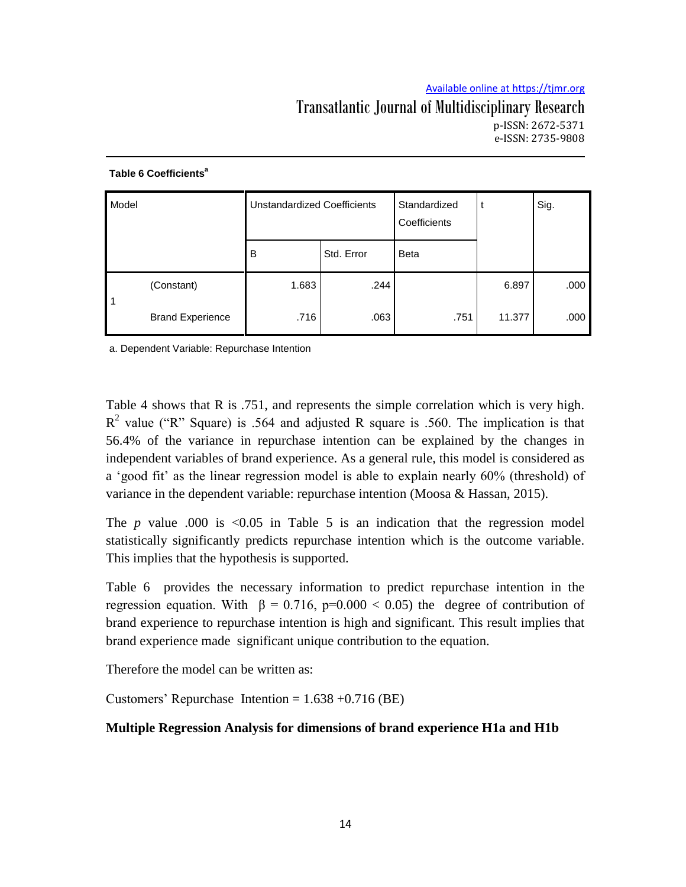# Transatlantic Journal of Multidisciplinary Research p-ISSN: 2672-5371 e-ISSN: 2735-9808

| Model |                         | <b>Unstandardized Coefficients</b> |            | Standardized<br>Coefficients |        | Sig. |
|-------|-------------------------|------------------------------------|------------|------------------------------|--------|------|
|       |                         | B                                  | Std. Error | <b>Beta</b>                  |        |      |
| 1     | (Constant)              | 1.683                              | .244       |                              | 6.897  | .000 |
|       | <b>Brand Experience</b> | .716                               | .063       | .751                         | 11.377 | .000 |

#### **Table 6 Coefficients<sup>a</sup>**

a. Dependent Variable: Repurchase Intention

Table 4 shows that R is .751, and represents the simple correlation which is very high.  $R^2$  value ("R" Square) is .564 and adjusted R square is .560. The implication is that 56.4% of the variance in repurchase intention can be explained by the changes in independent variables of brand experience. As a general rule, this model is considered as a 'good fit' as the linear regression model is able to explain nearly 60% (threshold) of variance in the dependent variable: repurchase intention (Moosa & Hassan, 2015).

The  $p$  value .000 is  $\leq 0.05$  in Table 5 is an indication that the regression model statistically significantly predicts repurchase intention which is the outcome variable. This implies that the hypothesis is supported.

Table 6 provides the necessary information to predict repurchase intention in the regression equation. With  $β = 0.716$ ,  $p=0.000 < 0.05$ ) the degree of contribution of brand experience to repurchase intention is high and significant. This result implies that brand experience made significant unique contribution to the equation.

Therefore the model can be written as:

Customers' Repurchase Intention =  $1.638 + 0.716$  (BE)

# **Multiple Regression Analysis for dimensions of brand experience H1a and H1b**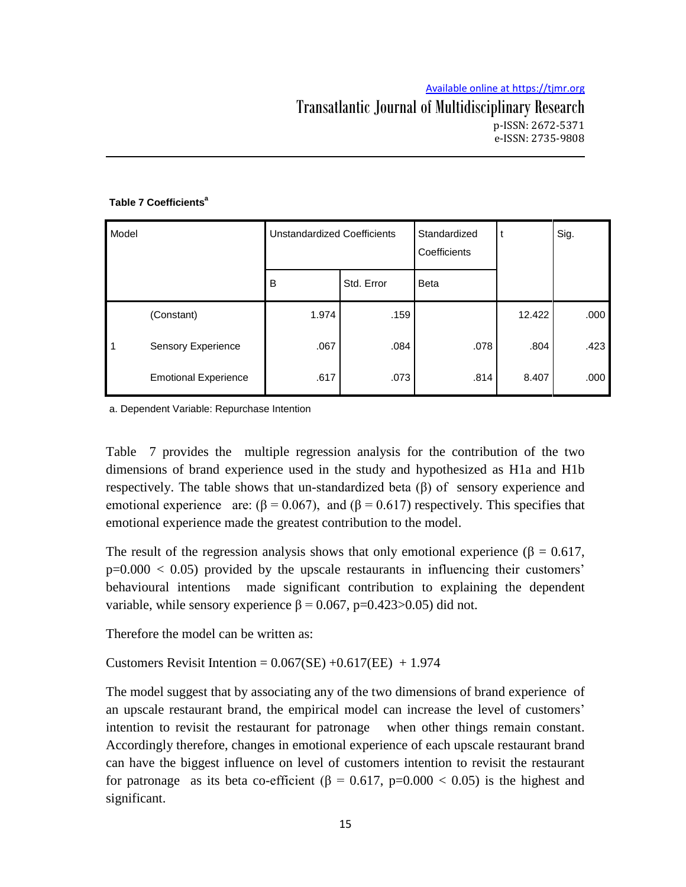## Transatlantic Journal of Multidisciplinary Research p-ISSN: 2672-5371 e-ISSN: 2735-9808

#### **Table 7 Coefficients<sup>a</sup>**

| Model        |                             | <b>Unstandardized Coefficients</b> |            | Standardized<br>Coefficients |        | Sig. |
|--------------|-----------------------------|------------------------------------|------------|------------------------------|--------|------|
|              |                             | B                                  | Std. Error | <b>Beta</b>                  |        |      |
|              | (Constant)                  | 1.974                              | .159       |                              | 12.422 | .000 |
| $\mathbf{1}$ | <b>Sensory Experience</b>   | .067                               | .084       | .078                         | .804   | .423 |
|              | <b>Emotional Experience</b> | .617                               | .073       | .814                         | 8.407  | .000 |

a. Dependent Variable: Repurchase Intention

Table 7 provides the multiple regression analysis for the contribution of the two dimensions of brand experience used in the study and hypothesized as H1a and H1b respectively. The table shows that un-standardized beta  $(\beta)$  of sensory experience and emotional experience are:  $(\beta = 0.067)$ , and  $(\beta = 0.617)$  respectively. This specifies that emotional experience made the greatest contribution to the model.

The result of the regression analysis shows that only emotional experience ( $\beta = 0.617$ ,  $p=0.000 < 0.05$ ) provided by the upscale restaurants in influencing their customers' behavioural intentions made significant contribution to explaining the dependent variable, while sensory experience  $β = 0.067$ ,  $p=0.423>0.05$ ) did not.

Therefore the model can be written as:

Customers Revisit Intention =  $0.067$ (SE) + $0.617$ (EE) + 1.974

The model suggest that by associating any of the two dimensions of brand experience of an upscale restaurant brand, the empirical model can increase the level of customers" intention to revisit the restaurant for patronage when other things remain constant. Accordingly therefore, changes in emotional experience of each upscale restaurant brand can have the biggest influence on level of customers intention to revisit the restaurant for patronage as its beta co-efficient ( $\beta = 0.617$ , p=0.000 < 0.05) is the highest and significant.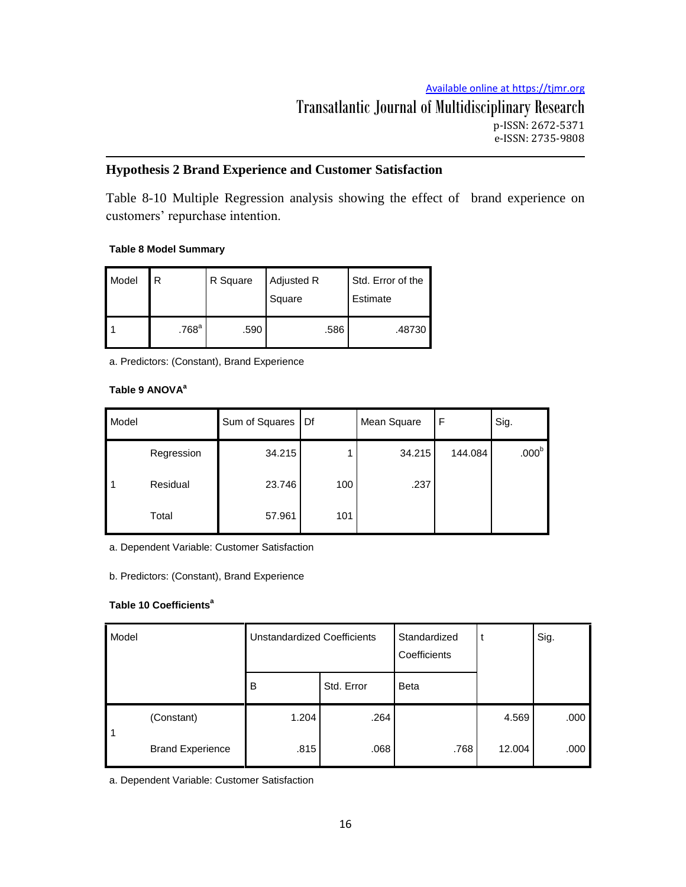p-ISSN: 2672-5371 e-ISSN: 2735-9808

# **Hypothesis 2 Brand Experience and Customer Satisfaction**

Table 8-10 Multiple Regression analysis showing the effect of brand experience on customers' repurchase intention.

# **Table 8 Model Summary**

| Model | R                   | R Square | Adjusted R<br>Square | Std. Error of the<br>Estimate |  |
|-------|---------------------|----------|----------------------|-------------------------------|--|
|       | $.768$ <sup>a</sup> | .590     | .586                 | ا 48730.                      |  |

a. Predictors: (Constant), Brand Experience

# **Table 9 ANOVA<sup>a</sup>**

| Model |            | Sum of Squares | I Df | Mean Square | F       | Sig.              |
|-------|------------|----------------|------|-------------|---------|-------------------|
|       | Regression | 34.215         |      | 34.215      | 144.084 | .000 <sup>b</sup> |
| l 1   | Residual   | 23.746         | 100  | .237        |         |                   |
|       | Total      | 57.961         | 101  |             |         |                   |

a. Dependent Variable: Customer Satisfaction

b. Predictors: (Constant), Brand Experience

## **Table 10 Coefficients<sup>a</sup>**

| Model          |                         | <b>Unstandardized Coefficients</b> |            | Standardized<br>Coefficients |        | Sig. |
|----------------|-------------------------|------------------------------------|------------|------------------------------|--------|------|
|                |                         | B                                  | Std. Error | <b>Beta</b>                  |        |      |
| $\overline{1}$ | (Constant)              | 1.204                              | .264       |                              | 4.569  | .000 |
|                | <b>Brand Experience</b> | .815                               | .068       | .768                         | 12.004 | .000 |

a. Dependent Variable: Customer Satisfaction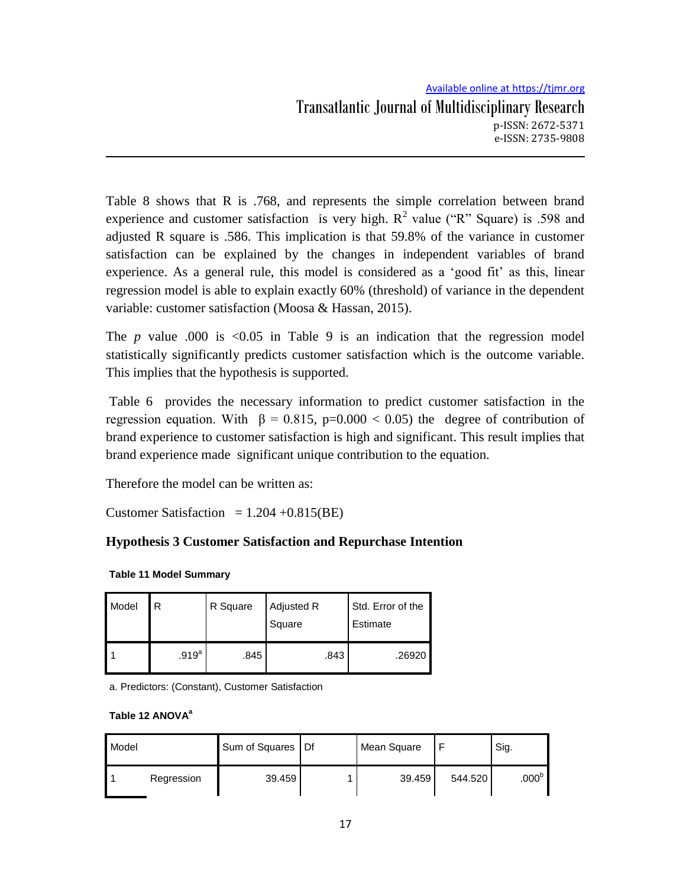Table 8 shows that R is .768, and represents the simple correlation between brand experience and customer satisfaction is very high.  $R^2$  value ("R" Square) is .598 and adjusted R square is .586. This implication is that 59.8% of the variance in customer satisfaction can be explained by the changes in independent variables of brand experience. As a general rule, this model is considered as a 'good fit' as this, linear regression model is able to explain exactly 60% (threshold) of variance in the dependent variable: customer satisfaction (Moosa & Hassan, 2015).

The  $p$  value .000 is  $\leq 0.05$  in Table 9 is an indication that the regression model statistically significantly predicts customer satisfaction which is the outcome variable. This implies that the hypothesis is supported.

Table 6 provides the necessary information to predict customer satisfaction in the regression equation. With  $\beta = 0.815$ , p=0.000 < 0.05) the degree of contribution of brand experience to customer satisfaction is high and significant. This result implies that brand experience made significant unique contribution to the equation.

Therefore the model can be written as:

Customer Satisfaction  $= 1.204 + 0.815(BE)$ 

# **Hypothesis 3 Customer Satisfaction and Repurchase Intention**

| Model | R                 | R Square | Adjusted R<br>Square | Std. Error of the<br>Estimate |  |
|-------|-------------------|----------|----------------------|-------------------------------|--|
|       | .919 <sup>a</sup> | .845     | .843                 | .26920                        |  |

**Table 11 Model Summary**

a. Predictors: (Constant), Customer Satisfaction

#### **Table 12 ANOVA<sup>a</sup>**

| Model |            | Sum of Squares   Df | Mean Square |         | Sig.              |
|-------|------------|---------------------|-------------|---------|-------------------|
|       | Regression | 39.459              | 39.459      | 544.520 | .000 <sup>b</sup> |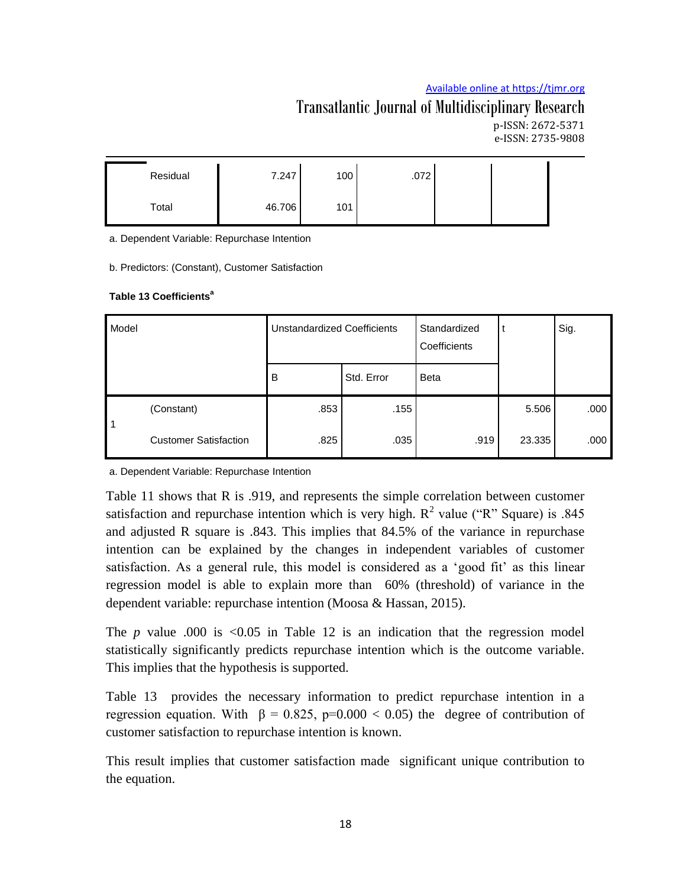# Transatlantic Journal of Multidisciplinary Research p-ISSN: 2672-5371 e-ISSN: 2735-9808

| Residual | 7.247  | 100 | .072 |  |
|----------|--------|-----|------|--|
| Total    | 46.706 | 101 |      |  |

a. Dependent Variable: Repurchase Intention

b. Predictors: (Constant), Customer Satisfaction

#### **Table 13 Coefficients<sup>a</sup>**

| Model |                              | <b>Unstandardized Coefficients</b> |            | Standardized<br>Coefficients |        | Sig. |
|-------|------------------------------|------------------------------------|------------|------------------------------|--------|------|
|       |                              | B                                  | Std. Error | <b>Beta</b>                  |        |      |
| l 1   | (Constant)                   | .853                               | .155       |                              | 5.506  | .000 |
|       | <b>Customer Satisfaction</b> | .825                               | .035       | .919                         | 23.335 | .000 |

a. Dependent Variable: Repurchase Intention

Table 11 shows that R is .919, and represents the simple correlation between customer satisfaction and repurchase intention which is very high.  $R^2$  value ("R" Square) is .845 and adjusted R square is .843. This implies that 84.5% of the variance in repurchase intention can be explained by the changes in independent variables of customer satisfaction. As a general rule, this model is considered as a "good fit" as this linear regression model is able to explain more than 60% (threshold) of variance in the dependent variable: repurchase intention (Moosa & Hassan, 2015).

The *p* value .000 is <0.05 in Table 12 is an indication that the regression model statistically significantly predicts repurchase intention which is the outcome variable. This implies that the hypothesis is supported.

Table 13 provides the necessary information to predict repurchase intention in a regression equation. With  $β = 0.825$ ,  $p=0.000 < 0.05$ ) the degree of contribution of customer satisfaction to repurchase intention is known.

This result implies that customer satisfaction made significant unique contribution to the equation.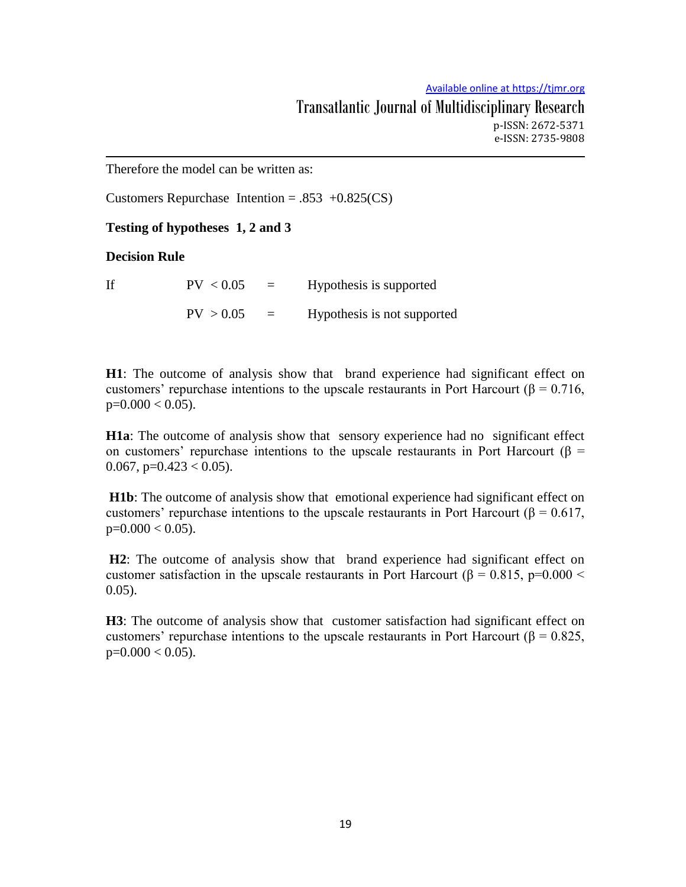Therefore the model can be written as:

Customers Repurchase Intention =  $.853 +0.825(CS)$ 

### **Testing of hypotheses 1, 2 and 3**

**Decision Rule** 

If  $PV < 0.05 = Hypothesis$  is supported  $PV > 0.05$  = Hypothesis is not supported

**H1**: The outcome of analysis show that brand experience had significant effect on customers' repurchase intentions to the upscale restaurants in Port Harcourt ( $\beta$  = 0.716,  $p=0.000 < 0.05$ ).

**H1a**: The outcome of analysis show that sensory experience had no significant effect on customers' repurchase intentions to the upscale restaurants in Port Harcourt ( $\beta$  = 0.067,  $p=0.423 < 0.05$ ).

**H1b**: The outcome of analysis show that emotional experience had significant effect on customers' repurchase intentions to the upscale restaurants in Port Harcourt ( $\beta$  = 0.617,  $p=0.000 < 0.05$ ).

**H2**: The outcome of analysis show that brand experience had significant effect on customer satisfaction in the upscale restaurants in Port Harcourt ( $\beta$  = 0.815, p=0.000 < 0.05).

**H3**: The outcome of analysis show that customer satisfaction had significant effect on customers' repurchase intentions to the upscale restaurants in Port Harcourt ( $\beta = 0.825$ ,  $p=0.000 < 0.05$ ).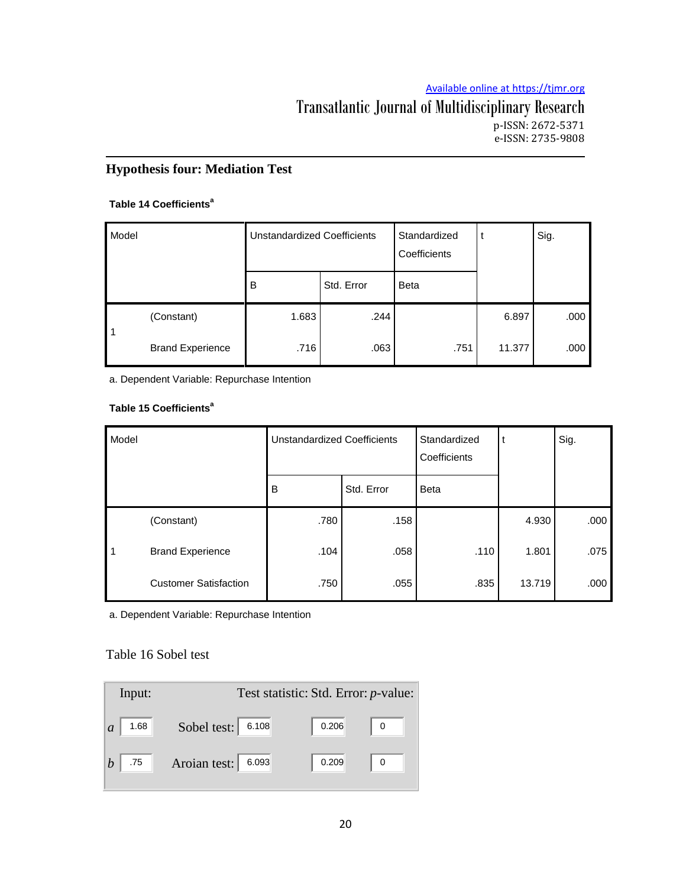# Transatlantic Journal of Multidisciplinary Research p-ISSN: 2672-5371 e-ISSN: 2735-9808

# **Hypothesis four: Mediation Test**

#### **Table 14 Coefficients<sup>a</sup>**

| Model |                         | <b>Unstandardized Coefficients</b> |            | Standardized<br>Coefficients |        | Sig. |
|-------|-------------------------|------------------------------------|------------|------------------------------|--------|------|
|       |                         | B                                  | Std. Error | <b>Beta</b>                  |        |      |
| 1     | (Constant)              | 1.683                              | .244       |                              | 6.897  | .000 |
|       | <b>Brand Experience</b> | .716                               | .063       | .751                         | 11.377 | .000 |

a. Dependent Variable: Repurchase Intention

## **Table 15 Coefficients<sup>a</sup>**

| Model     |                              | <b>Unstandardized Coefficients</b> |            | Standardized<br>Coefficients | t      | Sig. |
|-----------|------------------------------|------------------------------------|------------|------------------------------|--------|------|
|           |                              | B                                  | Std. Error | <b>Beta</b>                  |        |      |
|           | (Constant)                   | .780                               | .158       |                              | 4.930  | .000 |
| $\vert$ 1 | <b>Brand Experience</b>      | .104                               | .058       | .110                         | 1.801  | .075 |
|           | <b>Customer Satisfaction</b> | .750                               | .055       | .835                         | 13.719 | .000 |

a. Dependent Variable: Repurchase Intention

## Table 16 Sobel test

| Input:                 | Test statistic: Std. Error: <i>p</i> -value: |       |  |  |  |  |
|------------------------|----------------------------------------------|-------|--|--|--|--|
| 1.68<br>$\overline{a}$ | Sobel test: 6.108                            | 0.206 |  |  |  |  |
| .75                    | Aroian test:<br>6.093                        | 0.209 |  |  |  |  |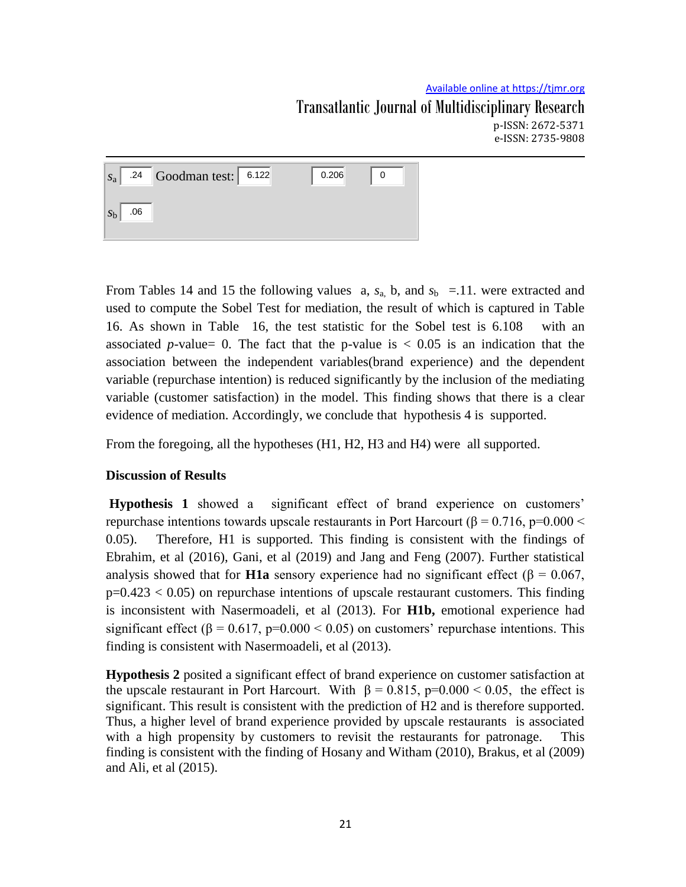e-ISSN: 2735-9808

 $s_a$ .24 Goodman test: 6.122  $\begin{array}{|c|c|c|c|c|c|} \hline \end{array}$  0.206  $\begin{array}{|c|c|c|c|c|c|} \hline \end{array}$  0 *s*b .06

From Tables 14 and 15 the following values a,  $s_a$ , b, and  $s_b$  =.11. were extracted and used to compute the Sobel Test for mediation, the result of which is captured in Table 16. As shown in Table 16, the test statistic for the Sobel test is 6.108 with an associated *p*-value= 0. The fact that the p-value is  $\langle 0.05 \rangle$  is an indication that the association between the independent variables(brand experience) and the dependent variable (repurchase intention) is reduced significantly by the inclusion of the mediating variable (customer satisfaction) in the model. This finding shows that there is a clear evidence of mediation. Accordingly, we conclude that hypothesis 4 is supported.

From the foregoing, all the hypotheses (H1, H2, H3 and H4) were all supported.

# **Discussion of Results**

**Hypothesis 1** showed a significant effect of brand experience on customers' repurchase intentions towards upscale restaurants in Port Harcourt (β = 0.716, p=0.000 < 0.05). Therefore, H1 is supported. This finding is consistent with the findings of Ebrahim, et al (2016), Gani, et al (2019) and Jang and Feng (2007). Further statistical analysis showed that for **H1a** sensory experience had no significant effect (β = 0.067,  $p=0.423 < 0.05$  on repurchase intentions of upscale restaurant customers. This finding is inconsistent with Nasermoadeli, et al (2013). For **H1b,** emotional experience had significant effect ( $\beta$  = 0.617, p=0.000 < 0.05) on customers' repurchase intentions. This finding is consistent with Nasermoadeli, et al (2013).

**Hypothesis 2** posited a significant effect of brand experience on customer satisfaction at the upscale restaurant in Port Harcourt. With  $\beta = 0.815$ , p=0.000 < 0.05, the effect is significant. This result is consistent with the prediction of H2 and is therefore supported. Thus, a higher level of brand experience provided by upscale restaurants is associated with a high propensity by customers to revisit the restaurants for patronage. This finding is consistent with the finding of Hosany and Witham (2010), Brakus, et al (2009) and Ali, et al (2015).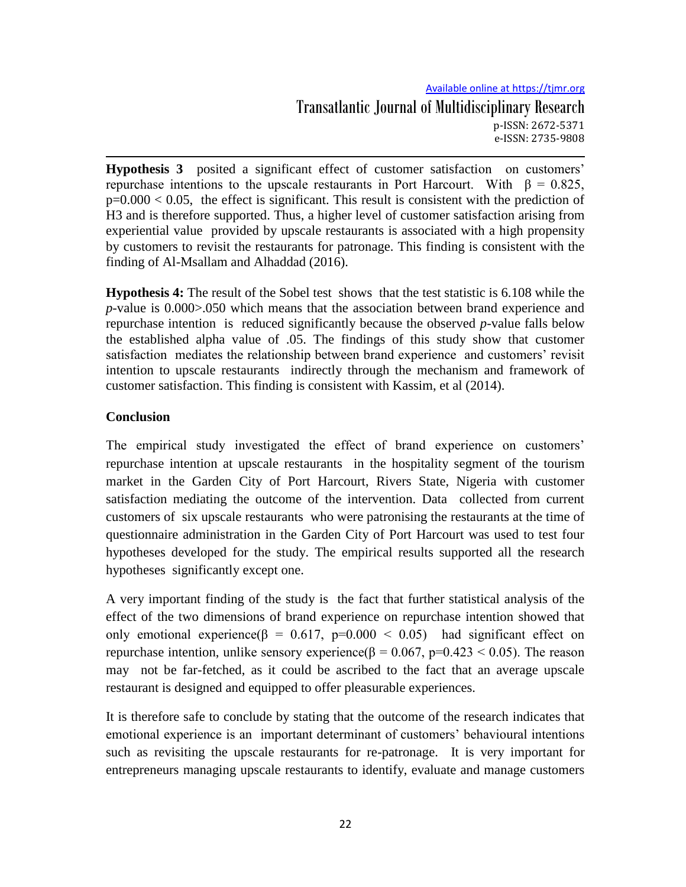**Hypothesis 3** posited a significant effect of customer satisfaction on customers' repurchase intentions to the upscale restaurants in Port Harcourt. With β = 0.825,  $p=0.000 < 0.05$ , the effect is significant. This result is consistent with the prediction of H3 and is therefore supported. Thus, a higher level of customer satisfaction arising from experiential value provided by upscale restaurants is associated with a high propensity by customers to revisit the restaurants for patronage. This finding is consistent with the finding of Al-Msallam and Alhaddad (2016).

**Hypothesis 4:** The result of the Sobel test shows that the test statistic is 6.108 while the *p-*value is 0.000>.050 which means that the association between brand experience and repurchase intention is reduced significantly because the observed *p*-value falls below the established alpha value of .05. The findings of this study show that customer satisfaction mediates the relationship between brand experience and customers' revisit intention to upscale restaurants indirectly through the mechanism and framework of customer satisfaction. This finding is consistent with Kassim, et al (2014).

## **Conclusion**

The empirical study investigated the effect of brand experience on customers" repurchase intention at upscale restaurants in the hospitality segment of the tourism market in the Garden City of Port Harcourt, Rivers State, Nigeria with customer satisfaction mediating the outcome of the intervention. Data collected from current customers of six upscale restaurants who were patronising the restaurants at the time of questionnaire administration in the Garden City of Port Harcourt was used to test four hypotheses developed for the study. The empirical results supported all the research hypotheses significantly except one.

A very important finding of the study is the fact that further statistical analysis of the effect of the two dimensions of brand experience on repurchase intention showed that only emotional experience( $\beta = 0.617$ , p=0.000 < 0.05) had significant effect on repurchase intention, unlike sensory experience(β = 0.067, p=0.423 < 0.05). The reason may not be far-fetched, as it could be ascribed to the fact that an average upscale restaurant is designed and equipped to offer pleasurable experiences.

It is therefore safe to conclude by stating that the outcome of the research indicates that emotional experience is an important determinant of customers" behavioural intentions such as revisiting the upscale restaurants for re-patronage. It is very important for entrepreneurs managing upscale restaurants to identify, evaluate and manage customers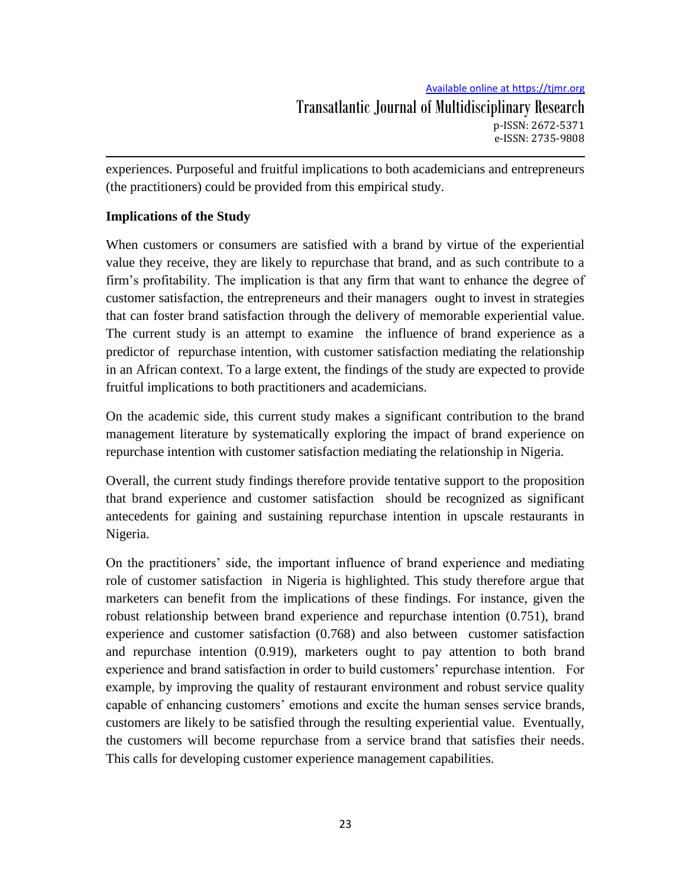experiences. Purposeful and fruitful implications to both academicians and entrepreneurs (the practitioners) could be provided from this empirical study.

# **Implications of the Study**

When customers or consumers are satisfied with a brand by virtue of the experiential value they receive, they are likely to repurchase that brand, and as such contribute to a firm"s profitability. The implication is that any firm that want to enhance the degree of customer satisfaction, the entrepreneurs and their managers ought to invest in strategies that can foster brand satisfaction through the delivery of memorable experiential value. The current study is an attempt to examine the influence of brand experience as a predictor of repurchase intention, with customer satisfaction mediating the relationship in an African context. To a large extent, the findings of the study are expected to provide fruitful implications to both practitioners and academicians.

On the academic side, this current study makes a significant contribution to the brand management literature by systematically exploring the impact of brand experience on repurchase intention with customer satisfaction mediating the relationship in Nigeria.

Overall, the current study findings therefore provide tentative support to the proposition that brand experience and customer satisfaction should be recognized as significant antecedents for gaining and sustaining repurchase intention in upscale restaurants in Nigeria.

On the practitioners" side, the important influence of brand experience and mediating role of customer satisfaction in Nigeria is highlighted. This study therefore argue that marketers can benefit from the implications of these findings. For instance, given the robust relationship between brand experience and repurchase intention (0.751), brand experience and customer satisfaction (0.768) and also between customer satisfaction and repurchase intention (0.919), marketers ought to pay attention to both brand experience and brand satisfaction in order to build customers" repurchase intention. For example, by improving the quality of restaurant environment and robust service quality capable of enhancing customers" emotions and excite the human senses service brands, customers are likely to be satisfied through the resulting experiential value. Eventually, the customers will become repurchase from a service brand that satisfies their needs. This calls for developing customer experience management capabilities.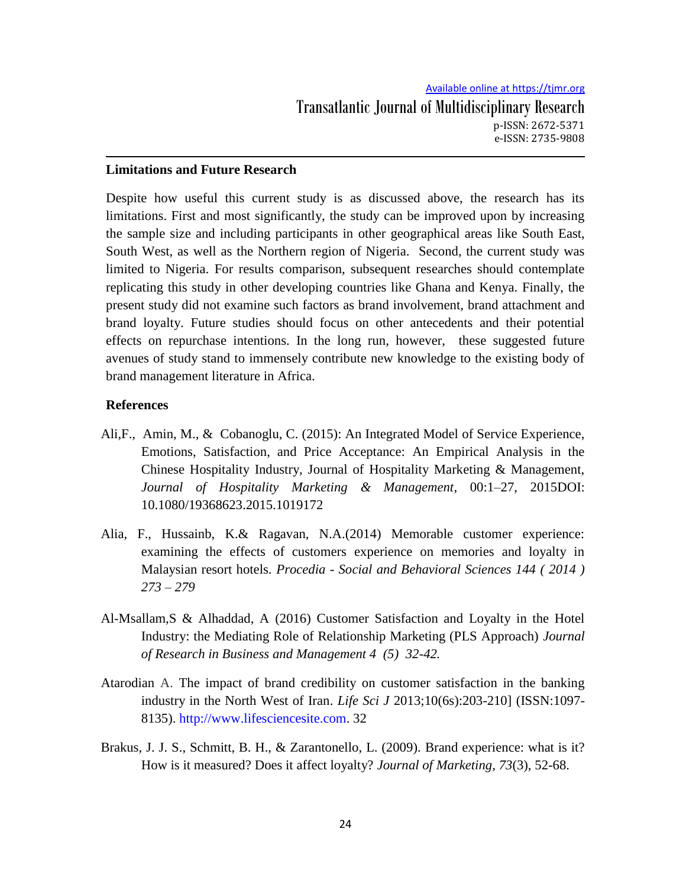## **Limitations and Future Research**

Despite how useful this current study is as discussed above, the research has its limitations. First and most significantly, the study can be improved upon by increasing the sample size and including participants in other geographical areas like South East, South West, as well as the Northern region of Nigeria. Second, the current study was limited to Nigeria. For results comparison, subsequent researches should contemplate replicating this study in other developing countries like Ghana and Kenya. Finally, the present study did not examine such factors as brand involvement, brand attachment and brand loyalty. Future studies should focus on other antecedents and their potential effects on repurchase intentions. In the long run, however, these suggested future avenues of study stand to immensely contribute new knowledge to the existing body of brand management literature in Africa.

## **References**

- Ali,F., Amin, M., & Cobanoglu, C. (2015): An Integrated Model of Service Experience, Emotions, Satisfaction, and Price Acceptance: An Empirical Analysis in the Chinese Hospitality Industry, Journal of Hospitality Marketing & Management, *Journal of Hospitality Marketing & Management*, 00:1–27, 2015DOI: 10.1080/19368623.2015.1019172
- Alia, F., Hussainb, K.& Ragavan, N.A.(2014) Memorable customer experience: examining the effects of customers experience on memories and loyalty in Malaysian resort hotels. *Procedia - Social and Behavioral Sciences 144 ( 2014 ) 273 – 279*
- Al-Msallam,S & Alhaddad, A (2016) Customer Satisfaction and Loyalty in the Hotel Industry: the Mediating Role of Relationship Marketing (PLS Approach) *Journal of Research in Business and Management 4 (5) 32-42.*
- Atarodian A. The impact of brand credibility on customer satisfaction in the banking industry in the North West of Iran. *Life Sci J* 2013;10(6s):203-210] (ISSN:1097- 8135). http://www.lifesciencesite.com. 32
- Brakus, J. J. S., Schmitt, B. H., & Zarantonello, L. (2009). Brand experience: what is it? How is it measured? Does it affect loyalty? *Journal of Marketing, 73*(3), 52-68.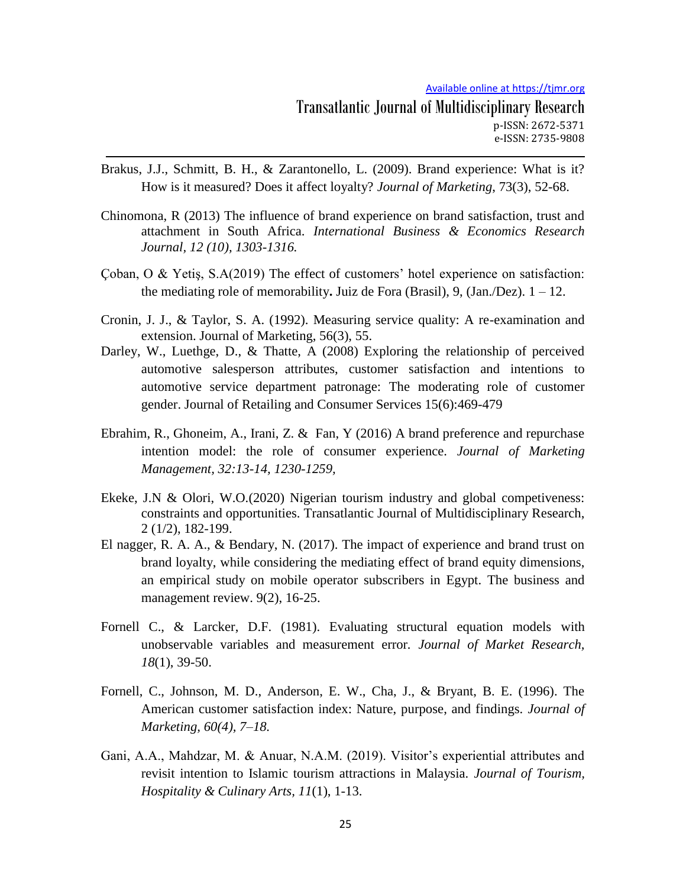- Brakus, J.J., Schmitt, B. H., & Zarantonello, L. (2009). Brand experience: What is it? How is it measured? Does it affect loyalty? *Journal of Marketing*, 73(3), 52-68.
- Chinomona, R (2013) The influence of brand experience on brand satisfaction, trust and attachment in South Africa. *International Business & Economics Research Journal, 12 (10), 1303-1316.*
- Coban, O & Yetis,  $S.A(2019)$  The effect of customers' hotel experience on satisfaction: the mediating role of memorability. Juiz de Fora (Brasil), 9,  $(Jan./Dez)$ .  $1 - 12$ .
- Cronin, J. J., & Taylor, S. A. (1992). Measuring service quality: A re-examination and extension. Journal of Marketing, 56(3), 55.
- Darley, W., Luethge, D., & Thatte, A (2008) Exploring the relationship of perceived automotive salesperson attributes, customer satisfaction and intentions to automotive service department patronage: The moderating role of customer gender. Journal of Retailing and Consumer Services 15(6):469-479
- Ebrahim, R., Ghoneim, A., Irani, Z. & Fan, Y (2016) A brand preference and repurchase intention model: the role of consumer experience. *Journal of Marketing Management, 32:13-14, 1230-1259,*
- Ekeke, J.N & Olori, W.O.(2020) Nigerian tourism industry and global competiveness: constraints and opportunities. Transatlantic Journal of Multidisciplinary Research, 2 (1/2), 182-199.
- El nagger, R. A. A., & Bendary, N. (2017). The impact of experience and brand trust on brand loyalty, while considering the mediating effect of brand equity dimensions, an empirical study on mobile operator subscribers in Egypt. The business and management review. 9(2), 16-25.
- Fornell C., & Larcker, D.F. (1981). Evaluating structural equation models with unobservable variables and measurement error*. Journal of Market Research, 18*(1), 39-50.
- Fornell, C., Johnson, M. D., Anderson, E. W., Cha, J., & Bryant, B. E. (1996). The American customer satisfaction index: Nature, purpose, and findings. *Journal of Marketing, 60(4), 7–18.*
- Gani, A.A., Mahdzar, M. & Anuar, N.A.M. (2019). Visitor's experiential attributes and revisit intention to Islamic tourism attractions in Malaysia. *Journal of Tourism, Hospitality & Culinary Arts, 11*(1), 1-13.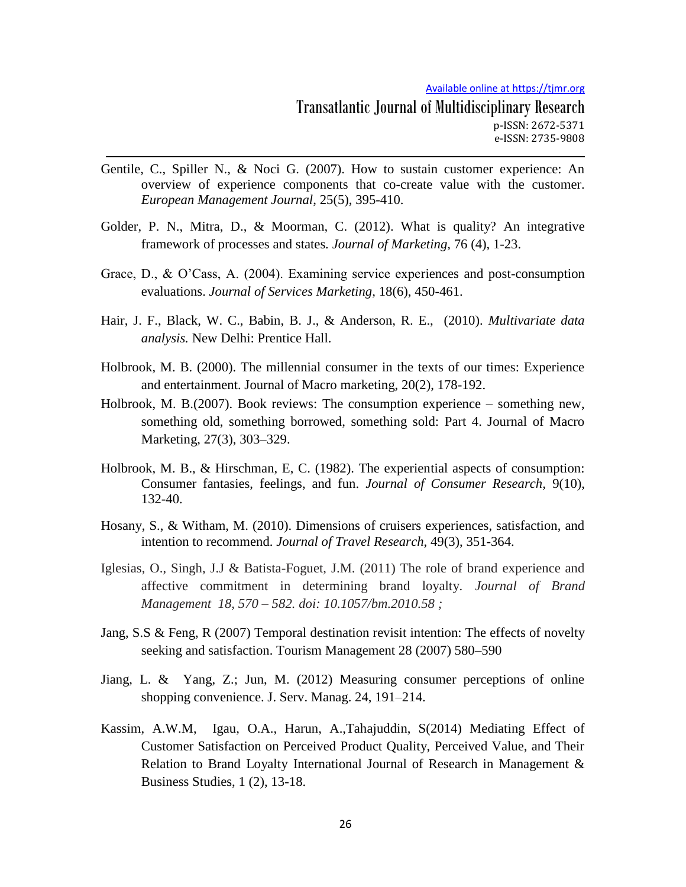- Gentile, C., Spiller N., & Noci G. (2007). How to sustain customer experience: An overview of experience components that co-create value with the customer. *European Management Journal*, 25(5), 395-410.
- Golder, P. N., Mitra, D., & Moorman, C. (2012). What is quality? An integrative framework of processes and states*. Journal of Marketing,* 76 (4), 1-23.
- Grace, D., & O"Cass, A. (2004). Examining service experiences and post-consumption evaluations. *Journal of Services Marketing,* 18(6), 450-461.
- Hair, J. F., Black, W. C., Babin, B. J., & Anderson, R. E., (2010). *Multivariate data analysis.* New Delhi: Prentice Hall.
- Holbrook, M. B. (2000). The millennial consumer in the texts of our times: Experience and entertainment. Journal of Macro marketing, 20(2), 178-192.
- Holbrook, M. B.(2007). Book reviews: The consumption experience something new, something old, something borrowed, something sold: Part 4. Journal of Macro Marketing, 27(3), 303–329.
- Holbrook, M. B., & Hirschman, E, C. (1982). The experiential aspects of consumption: Consumer fantasies, feelings, and fun. *Journal of Consumer Research,* 9(10), 132-40.
- Hosany, S., & Witham, M. (2010). Dimensions of cruisers experiences, satisfaction, and intention to recommend. *Journal of Travel Research*, 49(3), 351-364.
- Iglesias, O., Singh, J.J & Batista-Foguet, J.M. (2011) The role of brand experience and affective commitment in determining brand loyalty. *Journal of Brand Management 18, 570 – 582. doi: 10.1057/bm.2010.58 ;*
- Jang, S.S & Feng, R (2007) Temporal destination revisit intention: The effects of novelty seeking and satisfaction. Tourism Management 28 (2007) 580–590
- Jiang, L. & Yang, Z.; Jun, M. (2012) Measuring consumer perceptions of online shopping convenience. J. Serv. Manag. 24, 191–214.
- Kassim, A.W.M, Igau, O.A., Harun, A.,Tahajuddin, S(2014) Mediating Effect of Customer Satisfaction on Perceived Product Quality, Perceived Value, and Their Relation to Brand Loyalty International Journal of Research in Management & Business Studies, 1 (2), 13-18.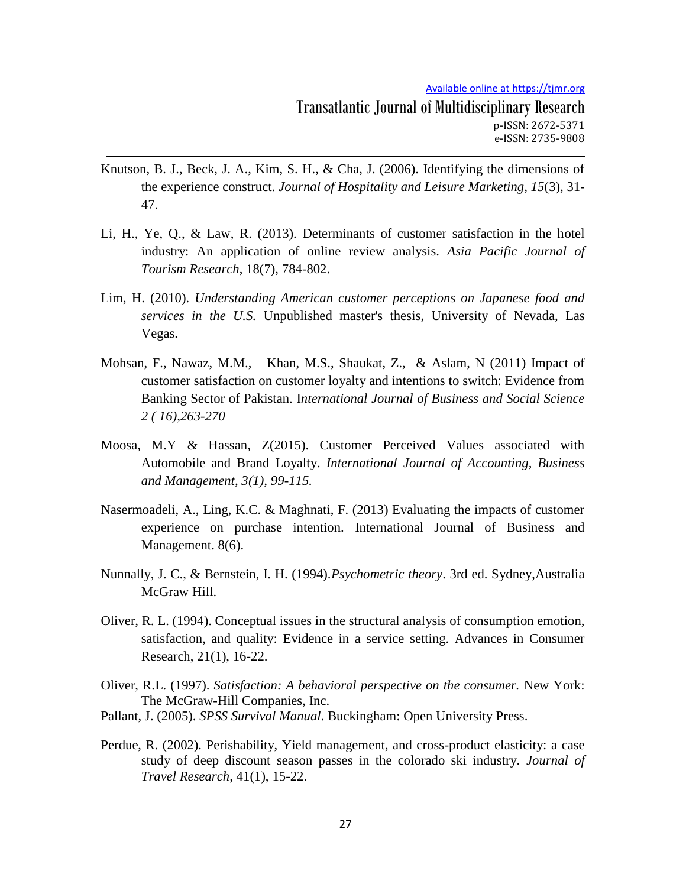- Knutson, B. J., Beck, J. A., Kim, S. H., & Cha, J. (2006). Identifying the dimensions of the experience construct. *Journal of Hospitality and Leisure Marketing, 15*(3), 31- 47.
- Li, H., Ye, Q., & Law, R. (2013). Determinants of customer satisfaction in the hotel industry: An application of online review analysis. *Asia Pacific Journal of Tourism Research*, 18(7), 784-802.
- Lim, H. (2010). *Understanding American customer perceptions on Japanese food and services in the U.S.* Unpublished master's thesis, University of Nevada, Las Vegas.
- Mohsan, F., Nawaz, M.M., Khan, M.S., Shaukat, Z., & Aslam, N (2011) Impact of customer satisfaction on customer loyalty and intentions to switch: Evidence from Banking Sector of Pakistan. I*nternational Journal of Business and Social Science 2 ( 16),263-270*
- Moosa, M.Y & Hassan, Z(2015). Customer Perceived Values associated with Automobile and Brand Loyalty. *International Journal of Accounting, Business and Management, 3(1), 99-115.*
- Nasermoadeli, A., Ling, K.C. & Maghnati, F. (2013) Evaluating the impacts of customer experience on purchase intention. International Journal of Business and Management. 8(6).
- Nunnally, J. C., & Bernstein, I. H. (1994).*Psychometric theory*. 3rd ed. Sydney,Australia McGraw Hill.
- Oliver, R. L. (1994). Conceptual issues in the structural analysis of consumption emotion, satisfaction, and quality: Evidence in a service setting. Advances in Consumer Research, 21(1), 16-22.
- Oliver, R.L. (1997). *Satisfaction: A behavioral perspective on the consumer.* New York: The McGraw-Hill Companies, Inc.
- Pallant, J. (2005). *SPSS Survival Manual*. Buckingham: Open University Press.
- Perdue, R. (2002). Perishability, Yield management, and cross-product elasticity: a case study of deep discount season passes in the colorado ski industry. *Journal of Travel Research,* 41(1), 15-22.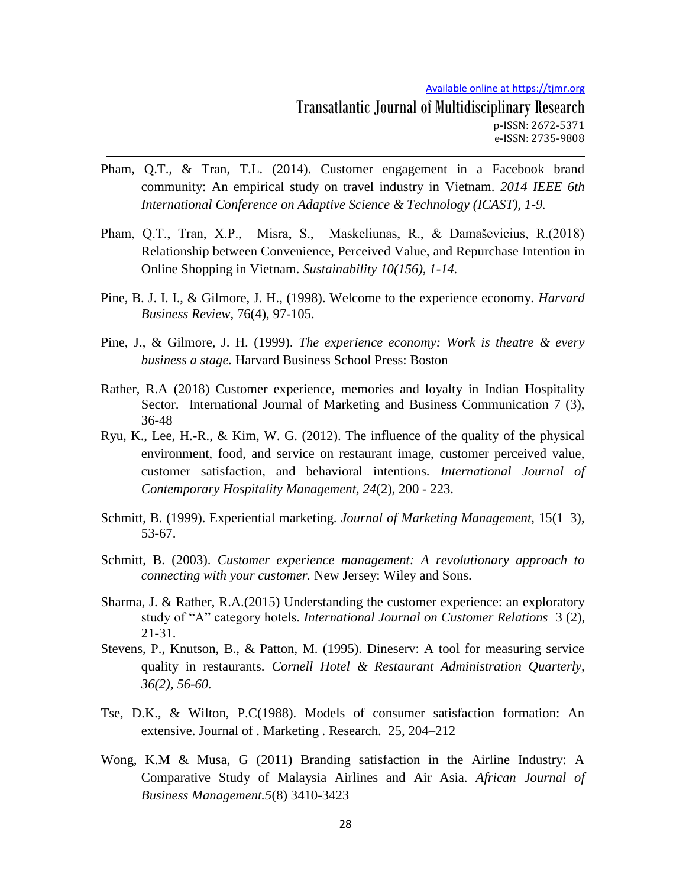- Pham, Q.T., & Tran, T.L. (2014). Customer engagement in a Facebook brand community: An empirical study on travel industry in Vietnam. *2014 IEEE 6th International Conference on Adaptive Science & Technology (ICAST), 1-9.*
- Pham, Q.T., Tran, X.P., Misra, S., Maskeliunas, R., & Damaševicius, R.(2018) Relationship between Convenience, Perceived Value, and Repurchase Intention in Online Shopping in Vietnam. *Sustainability 10(156), 1-14.*
- Pine, B. J. I. I., & Gilmore, J. H., (1998). Welcome to the experience economy. *Harvard Business Review,* 76(4), 97-105.
- Pine, J., & Gilmore, J. H. (1999). *The experience economy: Work is theatre & every business a stage.* Harvard Business School Press: Boston
- Rather, R.A (2018) Customer experience, memories and loyalty in Indian Hospitality Sector. International Journal of Marketing and Business Communication 7 (3), 36-48
- Ryu, K., Lee, H.-R., & Kim, W. G. (2012). The influence of the quality of the physical environment, food, and service on restaurant image, customer perceived value, customer satisfaction, and behavioral intentions. *International Journal of Contemporary Hospitality Management, 24*(2), 200 - 223.
- Schmitt, B. (1999). Experiential marketing. *Journal of Marketing Management,* 15(1–3), 53-67.
- Schmitt, B. (2003). *Customer experience management: A revolutionary approach to connecting with your customer.* New Jersey: Wiley and Sons.
- Sharma, J. & Rather, R.A.(2015) Understanding the customer experience: an exploratory study of "A" category hotels. *International Journal on Customer Relations* 3 (2), 21-31.
- Stevens, P., Knutson, B., & Patton, M. (1995). Dineserv: A tool for measuring service quality in restaurants. *Cornell Hotel & Restaurant Administration Quarterly, 36(2), 56-60.*
- Tse, D.K., & Wilton, P.C(1988). Models of consumer satisfaction formation: An extensive. Journal of . Marketing . Research. 25, 204–212
- Wong, K.M & Musa, G (2011) Branding satisfaction in the Airline Industry: A Comparative Study of Malaysia Airlines and Air Asia. *African Journal of Business Management.5*(8) 3410-3423